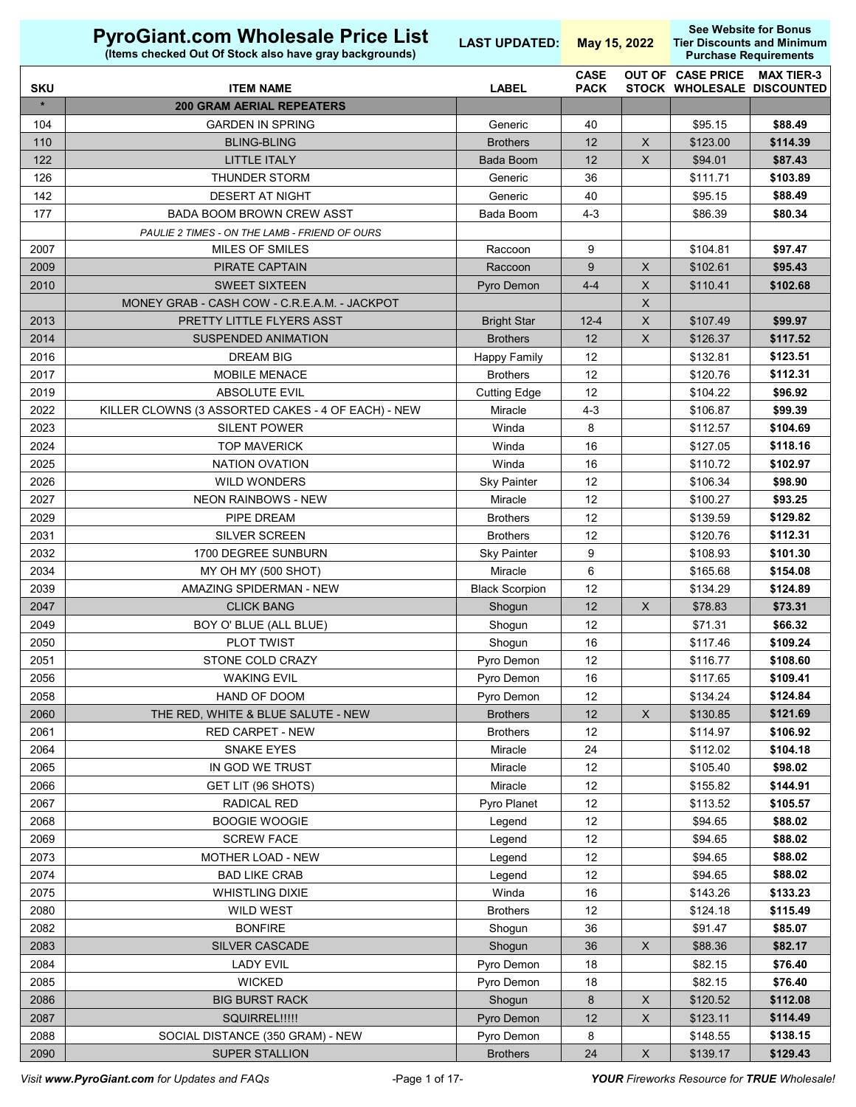**(Items checked Out Of Stock also have gray backgrounds)**

**LAST UPDATED: May 15, 2022**

|            |                                                    |                       | <b>CASE</b> |             | OUT OF CASE PRICE MAX TIER-3 | ד טוטומסט ולטעמווטוווט |
|------------|----------------------------------------------------|-----------------------|-------------|-------------|------------------------------|------------------------|
| <b>SKU</b> | <b>ITEM NAME</b>                                   | <b>LABEL</b>          | PACK        |             | STOCK WHOLESALE DISCOUNTED   |                        |
| $\star$    | <b>200 GRAM AERIAL REPEATERS</b>                   |                       |             |             |                              |                        |
| 104        | <b>GARDEN IN SPRING</b>                            | Generic               | 40          |             | \$95.15                      | \$88.49                |
| 110        | <b>BLING-BLING</b>                                 | <b>Brothers</b>       | 12          | X           | \$123.00                     | \$114.39               |
| 122        | LITTLE ITALY                                       | <b>Bada Boom</b>      | 12          | X           | \$94.01                      | \$87.43                |
| 126        | THUNDER STORM                                      | Generic               | 36          |             | \$111.71                     | \$103.89               |
| 142        | <b>DESERT AT NIGHT</b>                             | Generic               | 40          |             | \$95.15                      | \$88.49                |
| 177        | <b>BADA BOOM BROWN CREW ASST</b>                   | Bada Boom             | $4 - 3$     |             | \$86.39                      | \$80.34                |
|            | PAULIE 2 TIMES - ON THE LAMB - FRIEND OF OURS      |                       |             |             |                              |                        |
| 2007       | <b>MILES OF SMILES</b>                             | Raccoon               | 9           |             | \$104.81                     | \$97.47                |
| 2009       | PIRATE CAPTAIN                                     | Raccoon               | 9           | X           | \$102.61                     | \$95.43                |
| 2010       | <b>SWEET SIXTEEN</b>                               | Pyro Demon            | $4 - 4$     | X           | \$110.41                     | \$102.68               |
|            | MONEY GRAB - CASH COW - C.R.E.A.M. - JACKPOT       |                       |             | X           |                              |                        |
| 2013       | PRETTY LITTLE FLYERS ASST                          | <b>Bright Star</b>    | $12 - 4$    | X           | \$107.49                     | \$99.97                |
| 2014       | <b>SUSPENDED ANIMATION</b>                         | <b>Brothers</b>       | 12          | X           | \$126.37                     | \$117.52               |
| 2016       | <b>DREAM BIG</b>                                   | <b>Happy Family</b>   | 12          |             | \$132.81                     | \$123.51               |
| 2017       | MOBILE MENACE                                      | <b>Brothers</b>       | 12          |             | \$120.76                     | \$112.31               |
| 2019       | <b>ABSOLUTE EVIL</b>                               | <b>Cutting Edge</b>   | 12          |             | \$104.22                     | \$96.92                |
| 2022       | KILLER CLOWNS (3 ASSORTED CAKES - 4 OF EACH) - NEW | Miracle               | $4 - 3$     |             | \$106.87                     | \$99.39                |
| 2023       | <b>SILENT POWER</b>                                | Winda                 | 8           |             | \$112.57                     | \$104.69               |
| 2024       | <b>TOP MAVERICK</b>                                | Winda                 | 16          |             | \$127.05                     | \$118.16               |
| 2025       | <b>NATION OVATION</b>                              | Winda                 | 16          |             | \$110.72                     | \$102.97               |
| 2026       | <b>WILD WONDERS</b>                                | <b>Sky Painter</b>    | 12          |             | \$106.34                     | \$98.90                |
| 2027       | <b>NEON RAINBOWS - NEW</b>                         | Miracle               | 12          |             | \$100.27                     | \$93.25                |
| 2029       | PIPE DREAM                                         | <b>Brothers</b>       | 12          |             | \$139.59                     | \$129.82               |
| 2031       | <b>SILVER SCREEN</b>                               | <b>Brothers</b>       | 12          |             | \$120.76                     | \$112.31               |
| 2032       | 1700 DEGREE SUNBURN                                | <b>Sky Painter</b>    | 9           |             | \$108.93                     | \$101.30               |
| 2034       | MY OH MY (500 SHOT)                                | Miracle               | 6           |             | \$165.68                     | \$154.08               |
| 2039       | AMAZING SPIDERMAN - NEW                            | <b>Black Scorpion</b> | 12          |             | \$134.29                     | \$124.89               |
| 2047       | <b>CLICK BANG</b>                                  | Shogun                | 12          | X           | \$78.83                      | \$73.31                |
| 2049       | BOY O' BLUE (ALL BLUE)                             | Shogun                | 12          |             | \$71.31                      | \$66.32                |
| 2050       | PLOT TWIST                                         | Shogun                | 16          |             | \$117.46                     | \$109.24               |
| 2051       | STONE COLD CRAZY                                   | Pyro Demon            | 12          |             | \$116.77                     | \$108.60               |
| 2056       | <b>WAKING EVIL</b>                                 | Pyro Demon            | 16          |             | \$117.65                     | \$109.41               |
| 2058       | HAND OF DOOM                                       | Pyro Demon            | 12          |             | \$134.24                     | \$124.84               |
| 2060       | THE RED, WHITE & BLUE SALUTE - NEW                 | <b>Brothers</b>       | 12          | X           | \$130.85                     | \$121.69               |
| 2061       | RED CARPET - NEW                                   | <b>Brothers</b>       | 12          |             | \$114.97                     | \$106.92               |
| 2064       | <b>SNAKE EYES</b>                                  | Miracle               | 24          |             | \$112.02                     | \$104.18               |
| 2065       | IN GOD WE TRUST                                    | Miracle               | 12          |             | \$105.40                     | \$98.02                |
| 2066       | GET LIT (96 SHOTS)                                 | Miracle               | 12          |             | \$155.82                     | \$144.91               |
| 2067       | RADICAL RED                                        | Pyro Planet           | 12          |             | \$113.52                     | \$105.57               |
| 2068       | <b>BOOGIE WOOGIE</b>                               | Legend                | 12          |             | \$94.65                      | \$88.02                |
| 2069       | <b>SCREW FACE</b>                                  | Legend                | 12          |             | \$94.65                      | \$88.02                |
| 2073       | MOTHER LOAD - NEW                                  | Legend                | 12          |             | \$94.65                      | \$88.02                |
| 2074       | <b>BAD LIKE CRAB</b>                               | Legend                | 12          |             | \$94.65                      | \$88.02                |
| 2075       | <b>WHISTLING DIXIE</b>                             | Winda                 | 16          |             | \$143.26                     | \$133.23               |
| 2080       | <b>WILD WEST</b>                                   | <b>Brothers</b>       | 12          |             | \$124.18                     | \$115.49               |
| 2082       | <b>BONFIRE</b>                                     | Shogun                | 36          |             | \$91.47                      | \$85.07                |
| 2083       | <b>SILVER CASCADE</b>                              | Shogun                | 36          | X           | \$88.36                      | \$82.17                |
| 2084       | <b>LADY EVIL</b>                                   | Pyro Demon            | 18          |             | \$82.15                      | \$76.40                |
| 2085       | <b>WICKED</b>                                      | Pyro Demon            | 18          |             | \$82.15                      | \$76.40                |
| 2086       | <b>BIG BURST RACK</b>                              | Shogun                | 8           | X           | \$120.52                     | \$112.08               |
| 2087       | SQUIRREL!!!!!                                      | Pyro Demon            | 12          | X           | \$123.11                     | \$114.49               |
| 2088       | SOCIAL DISTANCE (350 GRAM) - NEW                   | Pyro Demon            | 8           |             | \$148.55                     | \$138.15               |
| 2090       | SUPER STALLION                                     | <b>Brothers</b>       | 24          | $\mathsf X$ | \$139.17                     | \$129.43               |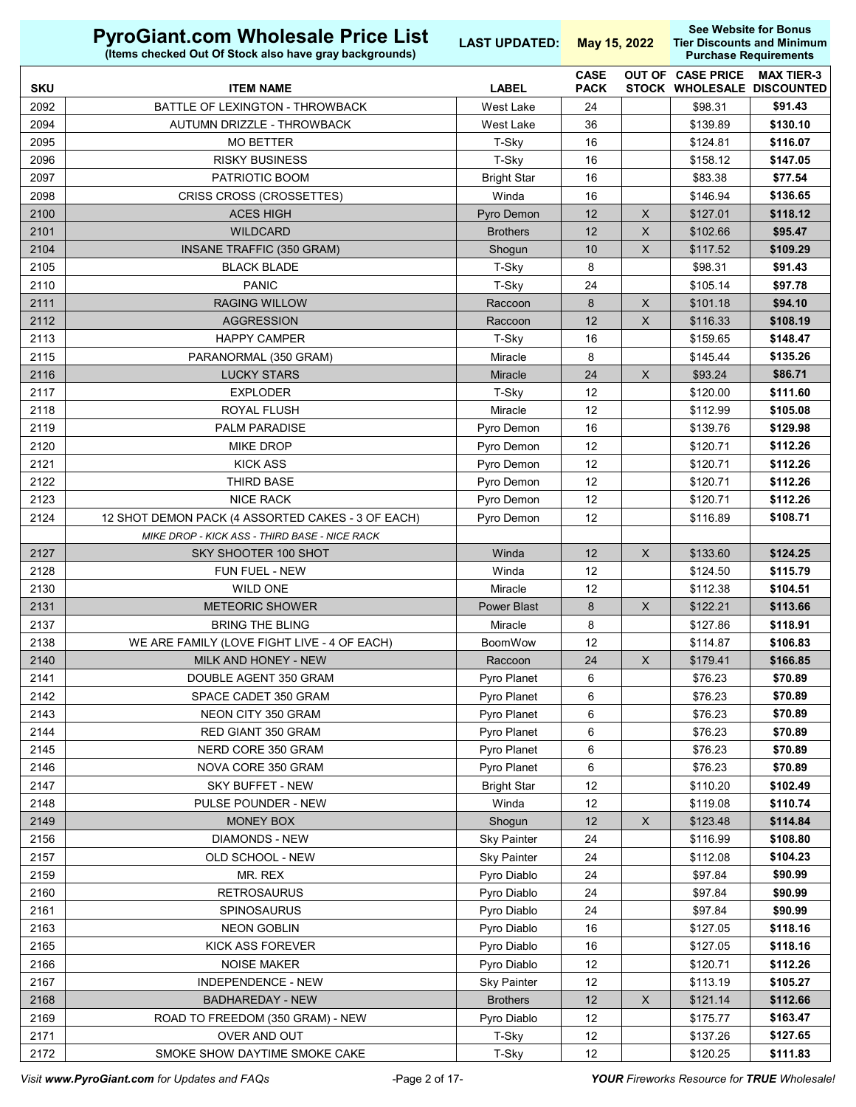**(Items checked Out Of Stock also have gray backgrounds)**

**LAST UPDATED: May 15, 2022**

| <b>SKU</b> | <b>ITEM NAME</b>                                  | <b>LABEL</b>       | <b>CASE</b><br><b>PACK</b> |   | OUT OF CASE PRICE<br>STOCK WHOLESALE DISCOUNTED | <b>MAX TIER-3</b>    |
|------------|---------------------------------------------------|--------------------|----------------------------|---|-------------------------------------------------|----------------------|
| 2092       | BATTLE OF LEXINGTON - THROWBACK                   | West Lake          | 24                         |   | \$98.31                                         | \$91.43              |
| 2094       | AUTUMN DRIZZLE - THROWBACK                        | West Lake          | 36                         |   | \$139.89                                        | \$130.10             |
| 2095       | <b>MO BETTER</b>                                  | T-Sky              | 16                         |   | \$124.81                                        | \$116.07             |
| 2096       | <b>RISKY BUSINESS</b>                             | T-Sky              | 16                         |   | \$158.12                                        | \$147.05             |
| 2097       | PATRIOTIC BOOM                                    | <b>Bright Star</b> | 16                         |   | \$83.38                                         | \$77.54              |
| 2098       | <b>CRISS CROSS (CROSSETTES)</b>                   | Winda              | 16                         |   | \$146.94                                        | \$136.65             |
| 2100       | <b>ACES HIGH</b>                                  | Pyro Demon         | 12                         | X | \$127.01                                        | \$118.12             |
| 2101       | <b>WILDCARD</b>                                   | <b>Brothers</b>    | 12                         | X | \$102.66                                        | \$95.47              |
| 2104       | <b>INSANE TRAFFIC (350 GRAM)</b>                  | Shogun             | 10                         | X | \$117.52                                        | \$109.29             |
| 2105       | <b>BLACK BLADE</b>                                | T-Sky              | 8                          |   | \$98.31                                         | \$91.43              |
| 2110       | <b>PANIC</b>                                      | T-Sky              | 24                         |   | \$105.14                                        | \$97.78              |
| 2111       | <b>RAGING WILLOW</b>                              | Raccoon            | 8                          | X | \$101.18                                        | \$94.10              |
| 2112       | <b>AGGRESSION</b>                                 | Raccoon            | 12                         | X | \$116.33                                        | \$108.19             |
| 2113       | <b>HAPPY CAMPER</b>                               | T-Sky              | 16                         |   | \$159.65                                        | \$148.47             |
| 2115       | PARANORMAL (350 GRAM)                             | Miracle            | 8                          |   | \$145.44                                        | \$135.26             |
| 2116       | <b>LUCKY STARS</b>                                | <b>Miracle</b>     | 24                         | X | \$93.24                                         | \$86.71              |
| 2117       | <b>EXPLODER</b>                                   | T-Sky              | 12                         |   | \$120.00                                        | \$111.60             |
| 2118       | ROYAL FLUSH                                       | Miracle            | 12                         |   | \$112.99                                        | \$105.08             |
| 2119       | <b>PALM PARADISE</b>                              | Pyro Demon         | 16                         |   | \$139.76                                        | \$129.98             |
| 2120       | <b>MIKE DROP</b>                                  | Pyro Demon         | 12                         |   | \$120.71                                        | \$112.26             |
| 2121       | <b>KICK ASS</b>                                   | Pyro Demon         | 12                         |   | \$120.71                                        | \$112.26             |
| 2122       | THIRD BASE                                        | Pyro Demon         | 12                         |   | \$120.71                                        | \$112.26             |
| 2123       | <b>NICE RACK</b>                                  | Pyro Demon         | 12                         |   | \$120.71                                        | \$112.26             |
| 2124       | 12 SHOT DEMON PACK (4 ASSORTED CAKES - 3 OF EACH) | Pyro Demon         | 12                         |   | \$116.89                                        | \$108.71             |
|            | MIKE DROP - KICK ASS - THIRD BASE - NICE RACK     |                    |                            |   |                                                 |                      |
| 2127       | <b>SKY SHOOTER 100 SHOT</b>                       | Winda              | 12                         | X | \$133.60                                        | \$124.25             |
| 2128       | FUN FUEL - NEW                                    | Winda              | 12                         |   | \$124.50                                        | \$115.79             |
| 2130       | <b>WILD ONE</b>                                   | Miracle            | 12                         |   | \$112.38                                        | \$104.51             |
| 2131       | METEORIC SHOWER                                   | Power Blast        | 8                          | X | \$122.21                                        | \$113.66             |
| 2137       | <b>BRING THE BLING</b>                            | Miracle            | 8                          |   | \$127.86                                        | \$118.91             |
| 2138       | WE ARE FAMILY (LOVE FIGHT LIVE - 4 OF EACH)       | <b>BoomWow</b>     | 12                         |   | \$114.87                                        | \$106.83             |
| 2140       | MILK AND HONEY - NEW                              | Raccoon            | 24                         | X | \$179.41                                        | \$166.85             |
| 2141       | DOUBLE AGENT 350 GRAM                             | Pyro Planet        | 6                          |   | \$76.23                                         | \$70.89              |
| 2142       | SPACE CADET 350 GRAM                              | Pyro Planet        | 6                          |   | \$76.23                                         | \$70.89              |
| 2143       | NEON CITY 350 GRAM                                | Pyro Planet        | 6                          |   | \$76.23                                         | \$70.89              |
| 2144       | RED GIANT 350 GRAM                                | Pyro Planet        | 6                          |   | \$76.23                                         | \$70.89              |
| 2145       | NERD CORE 350 GRAM                                | Pyro Planet        | 6                          |   | \$76.23                                         | \$70.89              |
| 2146       | NOVA CORE 350 GRAM                                | Pyro Planet        | 6                          |   | \$76.23                                         | \$70.89              |
| 2147       | SKY BUFFET - NEW                                  | <b>Bright Star</b> | 12                         |   | \$110.20                                        | \$102.49             |
| 2148       | PULSE POUNDER - NEW                               | Winda              | 12                         |   | \$119.08                                        | \$110.74             |
| 2149       | MONEY BOX                                         | Shogun             | 12                         | X | \$123.48                                        | \$114.84             |
| 2156       | <b>DIAMONDS - NEW</b>                             | <b>Sky Painter</b> | 24                         |   | \$116.99                                        | \$108.80             |
| 2157       | OLD SCHOOL - NEW                                  | <b>Sky Painter</b> | 24                         |   | \$112.08                                        | \$104.23             |
| 2159       | MR. REX                                           | Pyro Diablo        | 24                         |   | \$97.84                                         | \$90.99              |
| 2160       | <b>RETROSAURUS</b>                                | Pyro Diablo        | 24                         |   | \$97.84                                         | \$90.99              |
| 2161       | <b>SPINOSAURUS</b>                                | Pyro Diablo        | 24                         |   | \$97.84                                         | \$90.99              |
| 2163       | <b>NEON GOBLIN</b>                                | Pyro Diablo        | 16                         |   | \$127.05                                        | \$118.16             |
| 2165       | KICK ASS FOREVER                                  | Pyro Diablo        | 16                         |   | \$127.05                                        | \$118.16             |
| 2166       | <b>NOISE MAKER</b>                                | Pyro Diablo        | 12                         |   | \$120.71                                        | \$112.26             |
| 2167       | INDEPENDENCE - NEW                                | <b>Sky Painter</b> | 12                         |   | \$113.19                                        | \$105.27             |
| 2168       | <b>BADHAREDAY - NEW</b>                           | <b>Brothers</b>    | 12                         | X | \$121.14                                        | \$112.66             |
| 2169       | ROAD TO FREEDOM (350 GRAM) - NEW                  | Pyro Diablo        | 12                         |   |                                                 |                      |
|            |                                                   |                    |                            |   |                                                 |                      |
| 2171       | OVER AND OUT                                      | T-Sky              | 12                         |   | \$175.77<br>\$137.26                            | \$163.47<br>\$127.65 |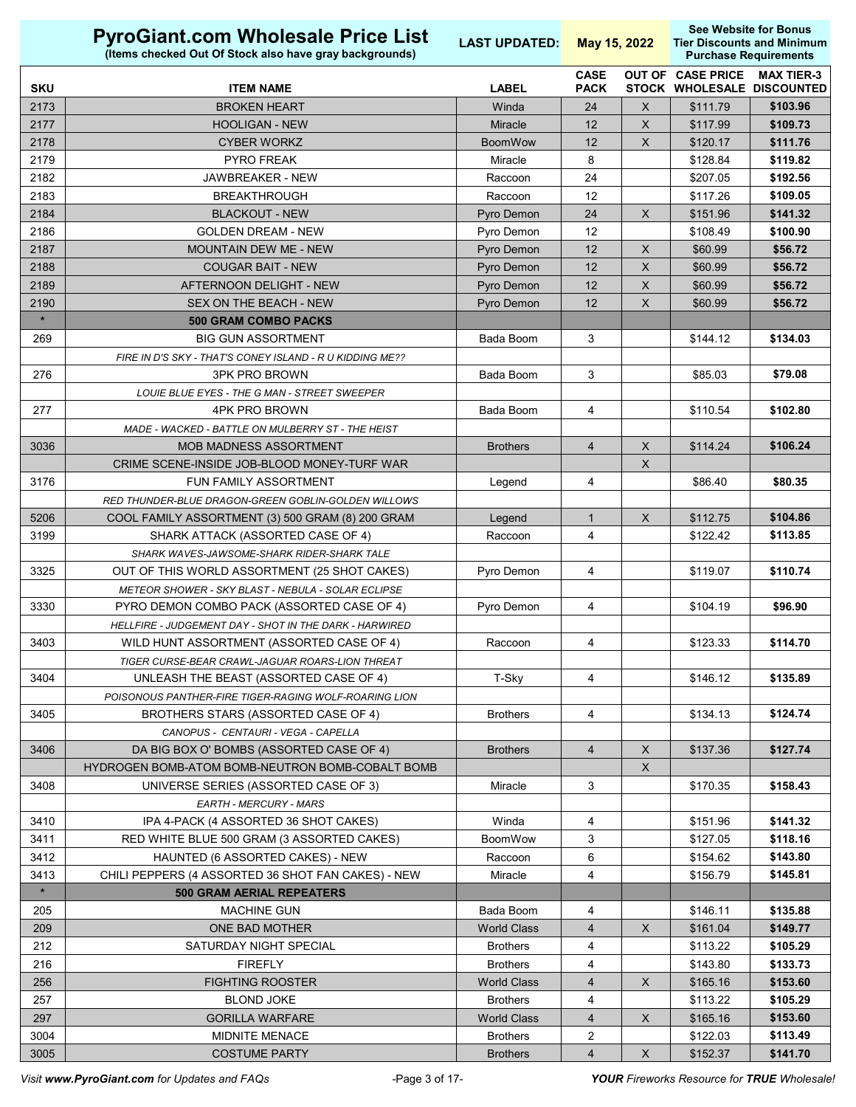**(Items checked Out Of Stock also have gray backgrounds)**

**LAST UPDATED: May 15, 2022**

|            |                                                                                 |                    | <b>CASE</b>    |        | OUT OF CASE PRICE          | <b>MAX TIER-3</b> |
|------------|---------------------------------------------------------------------------------|--------------------|----------------|--------|----------------------------|-------------------|
| <b>SKU</b> | <b>ITEM NAME</b>                                                                | <b>LABEL</b>       | <b>PACK</b>    |        | STOCK WHOLESALE DISCOUNTED |                   |
| 2173       | <b>BROKEN HEART</b>                                                             | Winda              | 24             | X      | \$111.79                   | \$103.96          |
| 2177       | <b>HOOLIGAN - NEW</b>                                                           | <b>Miracle</b>     | 12             | X      | \$117.99                   | \$109.73          |
| 2178       | <b>CYBER WORKZ</b>                                                              | <b>BoomWow</b>     | 12             | X      | \$120.17                   | \$111.76          |
| 2179       | PYRO FREAK                                                                      | Miracle            | 8              |        | \$128.84                   | \$119.82          |
| 2182       | JAWBREAKER - NEW                                                                | Raccoon            | 24             |        | \$207.05                   | \$192.56          |
| 2183       | <b>BREAKTHROUGH</b>                                                             | Raccoon            | 12             |        | \$117.26                   | \$109.05          |
| 2184       | <b>BLACKOUT - NEW</b>                                                           | Pyro Demon         | 24             | X      | \$151.96                   | \$141.32          |
| 2186       | <b>GOLDEN DREAM - NEW</b>                                                       | Pyro Demon         | 12             |        | \$108.49                   | \$100.90          |
| 2187       | <b>MOUNTAIN DEW ME - NEW</b>                                                    | Pyro Demon         | 12             | X      | \$60.99                    | \$56.72           |
| 2188       | <b>COUGAR BAIT - NEW</b>                                                        | Pyro Demon         | 12             | X      | \$60.99                    | \$56.72           |
| 2189       | AFTERNOON DELIGHT - NEW                                                         | Pyro Demon         | 12             | X      | \$60.99                    | \$56.72           |
| 2190       | SEX ON THE BEACH - NEW                                                          | Pyro Demon         | 12             | X      | \$60.99                    | \$56.72           |
|            | <b>500 GRAM COMBO PACKS</b>                                                     |                    |                |        |                            |                   |
| 269        | <b>BIG GUN ASSORTMENT</b>                                                       | Bada Boom          | 3              |        | \$144.12                   | \$134.03          |
|            | FIRE IN D'S SKY - THAT'S CONEY ISLAND - R U KIDDING ME??                        |                    |                |        |                            |                   |
| 276        | <b>3PK PRO BROWN</b>                                                            | Bada Boom          | 3              |        | \$85.03                    | \$79.08           |
|            | LOUIE BLUE EYES - THE G MAN - STREET SWEEPER                                    |                    |                |        |                            |                   |
| 277        | 4PK PRO BROWN                                                                   | Bada Boom          | 4              |        | \$110.54                   | \$102.80          |
|            | MADE - WACKED - BATTLE ON MULBERRY ST - THE HEIST                               |                    |                |        |                            |                   |
| 3036       | <b>MOB MADNESS ASSORTMENT</b>                                                   | <b>Brothers</b>    | $\overline{4}$ | X      | \$114.24                   | \$106.24          |
|            | CRIME SCENE-INSIDE JOB-BLOOD MONEY-TURF WAR                                     |                    |                | X      |                            |                   |
| 3176       | FUN FAMILY ASSORTMENT                                                           | Legend             | 4              |        | \$86.40                    | \$80.35           |
|            | RED THUNDER-BLUE DRAGON-GREEN GOBLIN-GOLDEN WILLOWS                             |                    |                |        |                            |                   |
| 5206       | COOL FAMILY ASSORTMENT (3) 500 GRAM (8) 200 GRAM                                | Legend             | $\mathbf{1}$   | X      | \$112.75                   | \$104.86          |
| 3199       | SHARK ATTACK (ASSORTED CASE OF 4)                                               | Raccoon            | 4              |        | \$122.42                   | \$113.85          |
|            | SHARK WAVES-JAWSOME-SHARK RIDER-SHARK TALE                                      |                    |                |        |                            |                   |
| 3325       | OUT OF THIS WORLD ASSORTMENT (25 SHOT CAKES)                                    | Pyro Demon         | $\overline{4}$ |        | \$119.07                   | \$110.74          |
|            | METEOR SHOWER - SKY BLAST - NEBULA - SOLAR ECLIPSE                              |                    |                |        |                            |                   |
| 3330       | PYRO DEMON COMBO PACK (ASSORTED CASE OF 4)                                      | Pyro Demon         | 4              |        | \$104.19                   | \$96.90           |
|            | <b>HELLFIRE - JUDGEMENT DAY - SHOT IN THE DARK - HARWIRED</b>                   |                    |                |        |                            |                   |
| 3403       | WILD HUNT ASSORTMENT (ASSORTED CASE OF 4)                                       | Raccoon            | 4              |        | \$123.33                   | \$114.70          |
|            | TIGER CURSE-BEAR CRAWL-JAGUAR ROARS-LION THREAT                                 |                    |                |        |                            |                   |
| 3404       | UNLEASH THE BEAST (ASSORTED CASE OF 4)                                          | T-Sky              | 4              |        | \$146.12                   | \$135.89          |
|            | POISONOUS PANTHER-FIRE TIGER-RAGING WOLF-ROARING LION                           |                    | $\overline{4}$ |        |                            |                   |
| 3405       | BROTHERS STARS (ASSORTED CASE OF 4)                                             | <b>Brothers</b>    |                |        | \$134.13                   | \$124.74          |
|            | CANOPUS - CENTAURI - VEGA - CAPELLA<br>DA BIG BOX O' BOMBS (ASSORTED CASE OF 4) |                    |                |        |                            |                   |
| 3406       | HYDROGEN BOMB-ATOM BOMB-NEUTRON BOMB-COBALT BOMB                                | <b>Brothers</b>    | $\overline{4}$ | X<br>X | \$137.36                   | \$127.74          |
| 3408       | UNIVERSE SERIES (ASSORTED CASE OF 3)                                            | Miracle            | 3              |        | \$170.35                   | \$158.43          |
|            | EARTH - MERCURY - MARS                                                          |                    |                |        |                            |                   |
| 3410       | IPA 4-PACK (4 ASSORTED 36 SHOT CAKES)                                           | Winda              | 4              |        | \$151.96                   | \$141.32          |
| 3411       | RED WHITE BLUE 500 GRAM (3 ASSORTED CAKES)                                      | <b>BoomWow</b>     | 3              |        | \$127.05                   | \$118.16          |
| 3412       | HAUNTED (6 ASSORTED CAKES) - NEW                                                | Raccoon            | 6              |        | \$154.62                   | \$143.80          |
| 3413       | CHILI PEPPERS (4 ASSORTED 36 SHOT FAN CAKES) - NEW                              | Miracle            | 4              |        | \$156.79                   | \$145.81          |
| $\star$    | <b>500 GRAM AERIAL REPEATERS</b>                                                |                    |                |        |                            |                   |
| 205        | <b>MACHINE GUN</b>                                                              | Bada Boom          | 4              |        | \$146.11                   | \$135.88          |
| 209        | ONE BAD MOTHER                                                                  | <b>World Class</b> | $\overline{4}$ | X      | \$161.04                   | \$149.77          |
| 212        | SATURDAY NIGHT SPECIAL                                                          | <b>Brothers</b>    | 4              |        | \$113.22                   | \$105.29          |
| 216        | <b>FIREFLY</b>                                                                  | <b>Brothers</b>    | 4              |        | \$143.80                   | \$133.73          |
| 256        | <b>FIGHTING ROOSTER</b>                                                         | <b>World Class</b> | $\overline{4}$ | X      | \$165.16                   | \$153.60          |
| 257        | <b>BLOND JOKE</b>                                                               | <b>Brothers</b>    | 4              |        | \$113.22                   | \$105.29          |
| 297        | <b>GORILLA WARFARE</b>                                                          | <b>World Class</b> | 4              | X      | \$165.16                   | \$153.60          |
| 3004       | MIDNITE MENACE                                                                  | <b>Brothers</b>    | 2              |        | \$122.03                   | \$113.49          |
| 3005       | <b>COSTUME PARTY</b>                                                            | <b>Brothers</b>    | $\overline{4}$ | X      | \$152.37                   | \$141.70          |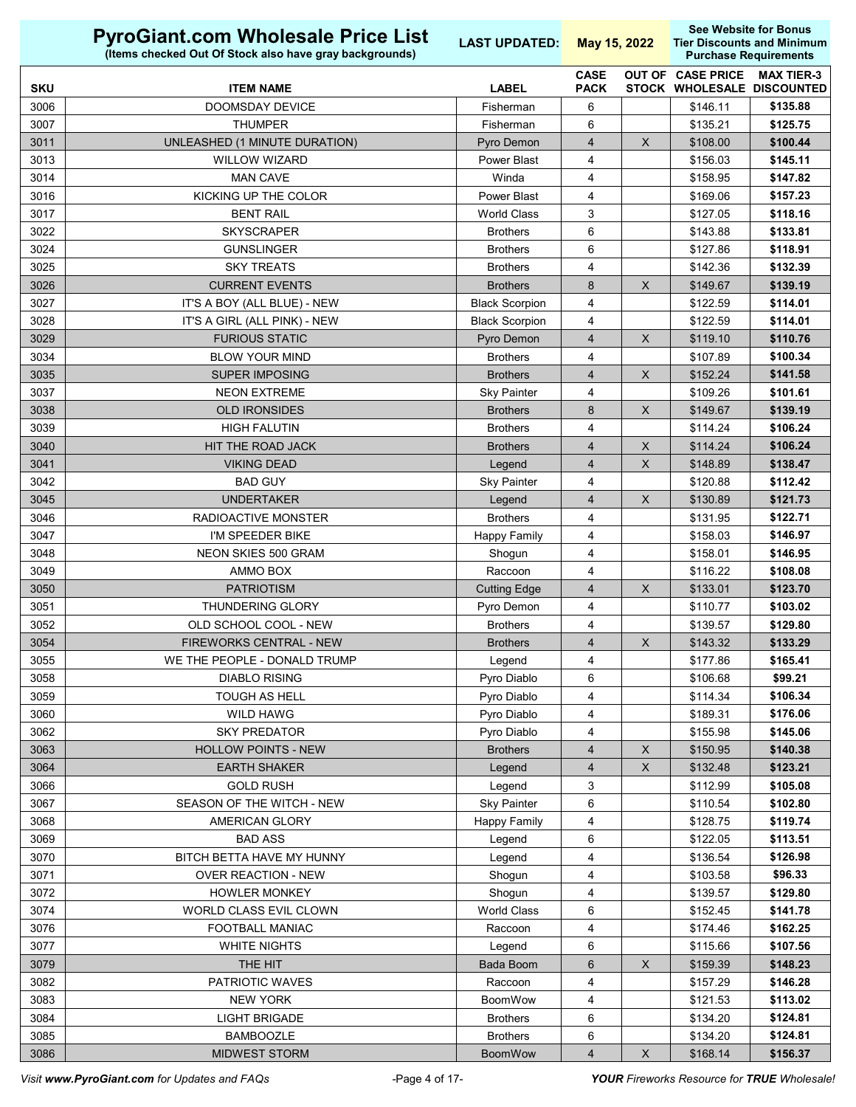**(Items checked Out Of Stock also have gray backgrounds)**

**LAST UPDATED: May 15, 2022**

**See Website for Bonus Tier Discounts and Minimum Purchase Requirements**

| <b>SKU</b> | <b>ITEM NAME</b>                              | <b>LABEL</b>                 | <b>CASE</b><br>PACK |   | <b>OUT OF CASE PRICE</b><br>STOCK WHOLESALE DISCOUNTED | <b>MAX TIER-3</b>    |
|------------|-----------------------------------------------|------------------------------|---------------------|---|--------------------------------------------------------|----------------------|
| 3006       | DOOMSDAY DEVICE                               | Fisherman                    | 6                   |   | \$146.11                                               | \$135.88             |
| 3007       | <b>THUMPER</b>                                | Fisherman                    | 6                   |   | \$135.21                                               | \$125.75             |
| 3011       | UNLEASHED (1 MINUTE DURATION)                 | Pyro Demon                   | $\overline{4}$      | X | \$108.00                                               | \$100.44             |
| 3013       | <b>WILLOW WIZARD</b>                          | Power Blast                  | 4                   |   | \$156.03                                               | \$145.11             |
| 3014       | <b>MAN CAVE</b>                               | Winda                        | 4                   |   | \$158.95                                               | \$147.82             |
| 3016       | KICKING UP THE COLOR                          | Power Blast                  | 4                   |   | \$169.06                                               | \$157.23             |
| 3017       | <b>BENT RAIL</b>                              | <b>World Class</b>           | 3                   |   | \$127.05                                               | \$118.16             |
| 3022       | <b>SKYSCRAPER</b>                             | <b>Brothers</b>              | 6                   |   | \$143.88                                               | \$133.81             |
| 3024       | <b>GUNSLINGER</b>                             | <b>Brothers</b>              | $6\phantom{1}$      |   | \$127.86                                               | \$118.91             |
| 3025       | <b>SKY TREATS</b>                             | <b>Brothers</b>              | 4                   |   | \$142.36                                               | \$132.39             |
| 3026       | <b>CURRENT EVENTS</b>                         | <b>Brothers</b>              | 8                   | X | \$149.67                                               | \$139.19             |
| 3027       | IT'S A BOY (ALL BLUE) - NEW                   | <b>Black Scorpion</b>        | 4                   |   | \$122.59                                               | \$114.01             |
| 3028       | IT'S A GIRL (ALL PINK) - NEW                  | <b>Black Scorpion</b>        | 4                   |   | \$122.59                                               | \$114.01             |
| 3029       | <b>FURIOUS STATIC</b>                         | Pyro Demon                   | $\overline{4}$      | X | \$119.10                                               | \$110.76             |
| 3034       | <b>BLOW YOUR MIND</b>                         | <b>Brothers</b>              | $\overline{4}$      |   | \$107.89                                               | \$100.34             |
| 3035       | SUPER IMPOSING                                | <b>Brothers</b>              | $\overline{4}$      | X | \$152.24                                               | \$141.58             |
| 3037       | <b>NEON EXTREME</b>                           | <b>Sky Painter</b>           | 4                   |   | \$109.26                                               | \$101.61             |
| 3038       | <b>OLD IRONSIDES</b>                          | <b>Brothers</b>              | 8                   | X | \$149.67                                               | \$139.19             |
| 3039       | <b>HIGH FALUTIN</b>                           | <b>Brothers</b>              | 4                   |   | \$114.24                                               | \$106.24             |
| 3040       | HIT THE ROAD JACK                             | <b>Brothers</b>              | $\overline{4}$      | X | \$114.24                                               | \$106.24             |
| 3041       | <b>VIKING DEAD</b>                            | Legend                       | $\overline{4}$      | X | \$148.89                                               | \$138.47             |
| 3042       | <b>BAD GUY</b>                                | <b>Sky Painter</b>           | 4                   |   | \$120.88                                               | \$112.42             |
| 3045       | <b>UNDERTAKER</b>                             | Legend                       | $\overline{4}$      | X | \$130.89                                               | \$121.73             |
| 3046       | RADIOACTIVE MONSTER                           | <b>Brothers</b>              | 4                   |   | \$131.95                                               | \$122.71             |
| 3047       | I'M SPEEDER BIKE                              | <b>Happy Family</b>          | 4                   |   | \$158.03                                               | \$146.97             |
| 3048       | NEON SKIES 500 GRAM                           | Shogun                       | 4                   |   | \$158.01                                               | \$146.95             |
| 3049       | AMMO BOX                                      | Raccoon                      | 4                   |   | \$116.22                                               | \$108.08             |
| 3050       | <b>PATRIOTISM</b>                             | <b>Cutting Edge</b>          | 4                   | X | \$133.01                                               | \$123.70             |
| 3051       | <b>THUNDERING GLORY</b>                       | Pyro Demon                   | 4                   |   | \$110.77                                               | \$103.02             |
| 3052       | OLD SCHOOL COOL - NEW                         | <b>Brothers</b>              | 4                   |   | \$139.57                                               | \$129.80             |
| 3054       | FIREWORKS CENTRAL - NEW                       | <b>Brothers</b>              | $\overline{4}$      | X | \$143.32                                               | \$133.29             |
| 3055       | WE THE PEOPLE - DONALD TRUMP                  | Legend                       | 4                   |   | \$177.86                                               | \$165.41             |
| 3058       | <b>DIABLO RISING</b>                          | Pyro Diablo                  | 6                   |   | \$106.68                                               | \$99.21              |
| 3059       | TOUGH AS HELL                                 | Pyro Diablo                  | 4                   |   | \$114.34                                               | \$106.34             |
| 3060       | <b>WILD HAWG</b>                              | Pyro Diablo                  | 4                   |   | \$189.31                                               | \$176.06             |
| 3062       | <b>SKY PREDATOR</b>                           | Pyro Diablo                  | 4                   |   | \$155.98                                               | \$145.06             |
| 3063       | <b>HOLLOW POINTS - NEW</b>                    | <b>Brothers</b>              | $\overline{4}$      | X | \$150.95                                               | \$140.38             |
| 3064       | <b>EARTH SHAKER</b>                           | Legend                       | $\overline{4}$      | X | \$132.48                                               | \$123.21             |
| 3066       |                                               |                              | 3                   |   |                                                        |                      |
| 3067       | <b>GOLD RUSH</b><br>SEASON OF THE WITCH - NEW | Legend<br><b>Sky Painter</b> | 6                   |   | \$112.99<br>\$110.54                                   | \$105.08<br>\$102.80 |
| 3068       |                                               | <b>Happy Family</b>          | 4                   |   |                                                        |                      |
| 3069       | AMERICAN GLORY<br><b>BAD ASS</b>              |                              |                     |   | \$128.75                                               | \$119.74             |
|            |                                               | Legend                       | 6                   |   | \$122.05                                               | \$113.51             |
| 3070       | BITCH BETTA HAVE MY HUNNY                     | Legend                       | 4                   |   | \$136.54                                               | \$126.98             |
| 3071       | <b>OVER REACTION - NEW</b>                    | Shogun                       | 4                   |   | \$103.58                                               | \$96.33              |
| 3072       | <b>HOWLER MONKEY</b>                          | Shogun                       | 4                   |   | \$139.57                                               | \$129.80             |
| 3074       | WORLD CLASS EVIL CLOWN                        | <b>World Class</b>           | 6                   |   | \$152.45                                               | \$141.78             |
| 3076       | FOOTBALL MANIAC                               | Raccoon                      | 4                   |   | \$174.46                                               | \$162.25             |
| 3077       | <b>WHITE NIGHTS</b>                           | Legend                       | 6                   |   | \$115.66                                               | \$107.56             |
| 3079       | THE HIT                                       | <b>Bada Boom</b>             | $6\phantom{1}6$     | X | \$159.39                                               | \$148.23             |
| 3082       | PATRIOTIC WAVES                               | Raccoon                      | 4                   |   | \$157.29                                               | \$146.28             |
| 3083       | <b>NEW YORK</b>                               | <b>BoomWow</b>               | 4                   |   | \$121.53                                               | \$113.02             |
| 3084       | <b>LIGHT BRIGADE</b>                          | <b>Brothers</b>              | 6                   |   | \$134.20                                               | \$124.81             |
| 3085       | <b>BAMBOOZLE</b>                              | <b>Brothers</b>              | 6                   |   | \$134.20                                               | \$124.81             |
| 3086       | <b>MIDWEST STORM</b>                          | <b>BoomWow</b>               | $\overline{4}$      | X | \$168.14                                               | \$156.37             |

*Visit www.PyroGiant.com for Updates and FAQs -*Page 4 of 17- *YOUR Fireworks Resource for TRUE Wholesale!*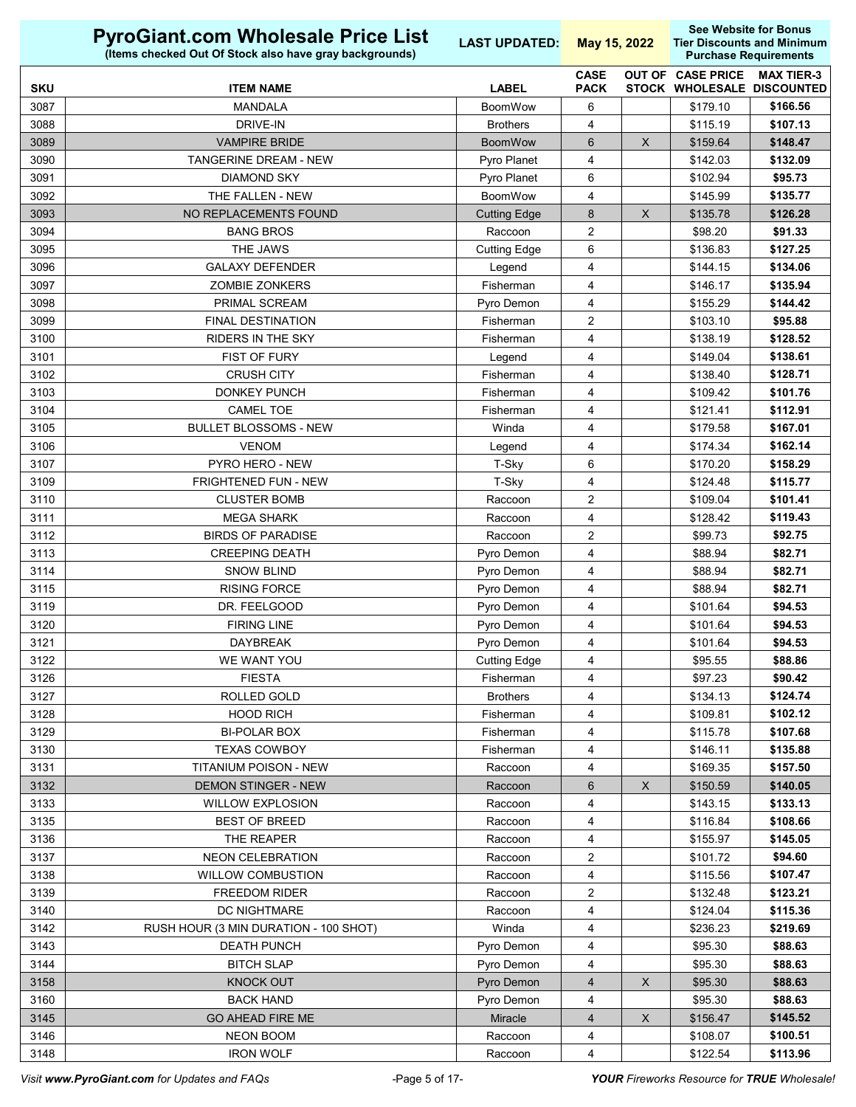**(Items checked Out Of Stock also have gray backgrounds)**

**LAST UPDATED: May 15, 2022**

**See Website for Bonus Tier Discounts and Minimum Purchase Requirements**

| <b>SKU</b> | <b>ITEM NAME</b>                      | <b>LABEL</b>        | <b>CASE</b><br><b>PACK</b> |                           | <b>OUT OF CASE PRICE</b><br>STOCK WHOLESALE DISCOUNTED | <b>MAX TIER-3</b> |
|------------|---------------------------------------|---------------------|----------------------------|---------------------------|--------------------------------------------------------|-------------------|
| 3087       | <b>MANDALA</b>                        | <b>BoomWow</b>      | 6                          |                           | \$179.10                                               | \$166.56          |
| 3088       | DRIVE-IN                              | <b>Brothers</b>     | 4                          |                           | \$115.19                                               | \$107.13          |
| 3089       | <b>VAMPIRE BRIDE</b>                  | <b>BoomWow</b>      | 6                          | X                         | \$159.64                                               | \$148.47          |
| 3090       | <b>TANGERINE DREAM - NEW</b>          | Pyro Planet         | 4                          |                           | \$142.03                                               | \$132.09          |
| 3091       | <b>DIAMOND SKY</b>                    | Pyro Planet         | 6                          |                           | \$102.94                                               | \$95.73           |
| 3092       | THE FALLEN - NEW                      | <b>BoomWow</b>      | 4                          |                           | \$145.99                                               | \$135.77          |
| 3093       | NO REPLACEMENTS FOUND                 | <b>Cutting Edge</b> | 8                          | X                         | \$135.78                                               | \$126.28          |
| 3094       | <b>BANG BROS</b>                      | Raccoon             | 2                          |                           | \$98.20                                                | \$91.33           |
| 3095       | THE JAWS                              | <b>Cutting Edge</b> | 6                          |                           | \$136.83                                               | \$127.25          |
| 3096       | <b>GALAXY DEFENDER</b>                | Legend              | 4                          |                           | \$144.15                                               | \$134.06          |
| 3097       | <b>ZOMBIE ZONKERS</b>                 | Fisherman           | 4                          |                           | \$146.17                                               | \$135.94          |
| 3098       | PRIMAL SCREAM                         | Pyro Demon          | 4                          |                           | \$155.29                                               | \$144.42          |
| 3099       | <b>FINAL DESTINATION</b>              | Fisherman           | 2                          |                           | \$103.10                                               | \$95.88           |
| 3100       | <b>RIDERS IN THE SKY</b>              | Fisherman           | 4                          |                           | \$138.19                                               | \$128.52          |
| 3101       | FIST OF FURY                          | Legend              | 4                          |                           | \$149.04                                               | \$138.61          |
| 3102       | <b>CRUSH CITY</b>                     | Fisherman           | 4                          |                           | \$138.40                                               | \$128.71          |
| 3103       | DONKEY PUNCH                          | Fisherman           | 4                          |                           | \$109.42                                               | \$101.76          |
| 3104       | <b>CAMEL TOE</b>                      | Fisherman           | 4                          |                           | \$121.41                                               | \$112.91          |
| 3105       | <b>BULLET BLOSSOMS - NEW</b>          | Winda               | 4                          |                           | \$179.58                                               | \$167.01          |
| 3106       | <b>VENOM</b>                          | Legend              | 4                          |                           | \$174.34                                               | \$162.14          |
| 3107       | PYRO HERO - NEW                       | T-Sky               | 6                          |                           | \$170.20                                               | \$158.29          |
| 3109       | <b>FRIGHTENED FUN - NEW</b>           | T-Sky               | 4                          |                           | \$124.48                                               | \$115.77          |
| 3110       | <b>CLUSTER BOMB</b>                   | Raccoon             | $\overline{c}$             |                           | \$109.04                                               | \$101.41          |
| 3111       | <b>MEGA SHARK</b>                     | Raccoon             | 4                          |                           | \$128.42                                               | \$119.43          |
| 3112       | <b>BIRDS OF PARADISE</b>              | Raccoon             | 2                          |                           | \$99.73                                                | \$92.75           |
| 3113       | <b>CREEPING DEATH</b>                 | Pyro Demon          | 4                          |                           | \$88.94                                                | \$82.71           |
| 3114       | <b>SNOW BLIND</b>                     | Pyro Demon          | 4                          |                           | \$88.94                                                | \$82.71           |
| 3115       | <b>RISING FORCE</b>                   | Pyro Demon          | 4                          |                           | \$88.94                                                | \$82.71           |
| 3119       | DR. FEELGOOD                          | Pyro Demon          | 4                          |                           | \$101.64                                               | \$94.53           |
| 3120       | <b>FIRING LINE</b>                    | Pyro Demon          | 4                          |                           | \$101.64                                               | \$94.53           |
| 3121       | <b>DAYBREAK</b>                       | Pyro Demon          | 4                          |                           | \$101.64                                               | \$94.53           |
| 3122       | WE WANT YOU                           | <b>Cutting Edge</b> | 4                          |                           | \$95.55                                                | \$88.86           |
| 3126       | <b>FIESTA</b>                         | Fisherman           | 4                          |                           | \$97.23                                                | \$90.42           |
| 3127       | ROLLED GOLD                           | <b>Brothers</b>     | 4                          |                           | \$134.13                                               | \$124.74          |
| 3128       | <b>HOOD RICH</b>                      | Fisherman           | 4                          |                           | \$109.81                                               | \$102.12          |
| 3129       | <b>BI-POLAR BOX</b>                   | Fisherman           | 4                          |                           | \$115.78                                               | \$107.68          |
| 3130       | <b>TEXAS COWBOY</b>                   | Fisherman           | 4                          |                           | \$146.11                                               | \$135.88          |
| 3131       | TITANIUM POISON - NEW                 | Raccoon             | 4                          |                           | \$169.35                                               | \$157.50          |
| 3132       | DEMON STINGER - NEW                   | Raccoon             | 6                          | X                         | \$150.59                                               | \$140.05          |
| 3133       | <b>WILLOW EXPLOSION</b>               | Raccoon             | 4                          |                           | \$143.15                                               | \$133.13          |
| 3135       | <b>BEST OF BREED</b>                  | Raccoon             | 4                          |                           | \$116.84                                               | \$108.66          |
| 3136       | THE REAPER                            | Raccoon             | 4                          |                           | \$155.97                                               | \$145.05          |
| 3137       | <b>NEON CELEBRATION</b>               | Raccoon             | 2                          |                           | \$101.72                                               | \$94.60           |
| 3138       | <b>WILLOW COMBUSTION</b>              | Raccoon             | 4                          |                           | \$115.56                                               | \$107.47          |
| 3139       | <b>FREEDOM RIDER</b>                  | Raccoon             | 2                          |                           | \$132.48                                               | \$123.21          |
| 3140       | DC NIGHTMARE                          | Raccoon             | 4                          |                           | \$124.04                                               | \$115.36          |
| 3142       | RUSH HOUR (3 MIN DURATION - 100 SHOT) | Winda               | 4                          |                           | \$236.23                                               | \$219.69          |
| 3143       | <b>DEATH PUNCH</b>                    | Pyro Demon          | 4                          |                           | \$95.30                                                | \$88.63           |
| 3144       | <b>BITCH SLAP</b>                     | Pyro Demon          | 4                          |                           | \$95.30                                                | \$88.63           |
| 3158       | <b>KNOCK OUT</b>                      | Pyro Demon          | 4                          | $\times$                  | \$95.30                                                | \$88.63           |
| 3160       | <b>BACK HAND</b>                      | Pyro Demon          | 4                          |                           | \$95.30                                                | \$88.63           |
| 3145       | <b>GO AHEAD FIRE ME</b>               | Miracle             | 4                          | $\boldsymbol{\mathsf{X}}$ | \$156.47                                               | \$145.52          |
| 3146       | <b>NEON BOOM</b>                      | Raccoon             | 4                          |                           | \$108.07                                               | \$100.51          |
| 3148       | <b>IRON WOLF</b>                      | Raccoon             | 4                          |                           | \$122.54                                               | \$113.96          |

*Visit www.PyroGiant.com for Updates and FAQs -*Page 5 of 17- *YOUR Fireworks Resource for TRUE Wholesale!*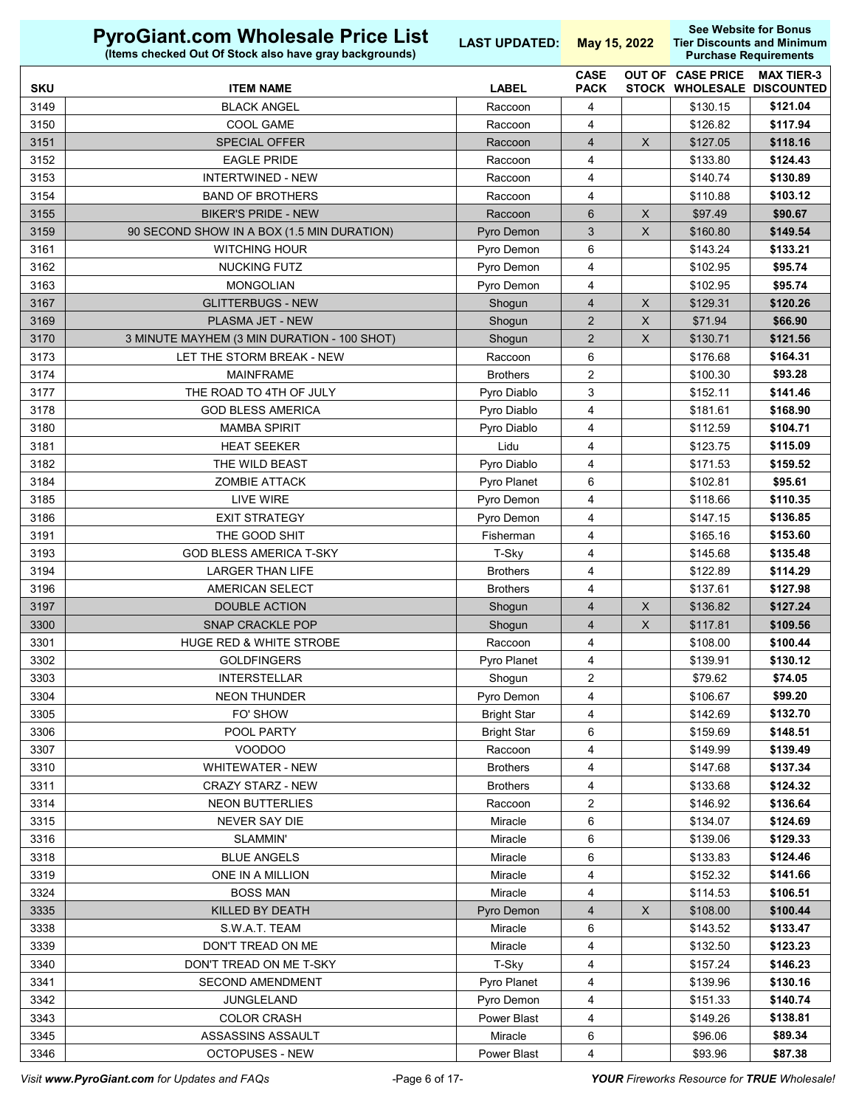**(Items checked Out Of Stock also have gray backgrounds)**

**LAST UPDATED: May 15, 2022**

| <b>SKU</b> | <b>ITEM NAME</b>                            | <b>LABEL</b>       | <b>CASE</b><br><b>PACK</b> |          | <b>OUT OF CASE PRICE</b> | <b>MAX TIER-3</b><br>STOCK WHOLESALE DISCOUNTED |
|------------|---------------------------------------------|--------------------|----------------------------|----------|--------------------------|-------------------------------------------------|
| 3149       | <b>BLACK ANGEL</b>                          | Raccoon            | 4                          |          | \$130.15                 | \$121.04                                        |
| 3150       | COOL GAME                                   | Raccoon            | 4                          |          | \$126.82                 | \$117.94                                        |
| 3151       | SPECIAL OFFER                               | Raccoon            | 4                          | $\times$ | \$127.05                 | \$118.16                                        |
| 3152       | <b>EAGLE PRIDE</b>                          | Raccoon            | 4                          |          | \$133.80                 | \$124.43                                        |
| 3153       | INTERTWINED - NEW                           | Raccoon            | 4                          |          | \$140.74                 | \$130.89                                        |
| 3154       | <b>BAND OF BROTHERS</b>                     | Raccoon            | 4                          |          | \$110.88                 | \$103.12                                        |
| 3155       | <b>BIKER'S PRIDE - NEW</b>                  | Raccoon            | 6                          | $\times$ | \$97.49                  | \$90.67                                         |
| 3159       | 90 SECOND SHOW IN A BOX (1.5 MIN DURATION)  | Pyro Demon         | 3                          | $\times$ | \$160.80                 | \$149.54                                        |
| 3161       | WITCHING HOUR                               | Pyro Demon         | 6                          |          | \$143.24                 | \$133.21                                        |
| 3162       | <b>NUCKING FUTZ</b>                         | Pyro Demon         | 4                          |          | \$102.95                 | \$95.74                                         |
| 3163       | <b>MONGOLIAN</b>                            | Pyro Demon         | 4                          |          | \$102.95                 | \$95.74                                         |
| 3167       | <b>GLITTERBUGS - NEW</b>                    | Shogun             | 4                          | X        | \$129.31                 | \$120.26                                        |
| 3169       | PLASMA JET - NEW                            | Shogun             | $\overline{2}$             | $\times$ | \$71.94                  | \$66.90                                         |
| 3170       | 3 MINUTE MAYHEM (3 MIN DURATION - 100 SHOT) | Shogun             | 2                          | $\times$ | \$130.71                 | \$121.56                                        |
| 3173       | LET THE STORM BREAK - NEW                   | Raccoon            | 6                          |          | \$176.68                 | \$164.31                                        |
| 3174       | <b>MAINFRAME</b>                            | <b>Brothers</b>    | $\overline{2}$             |          | \$100.30                 | \$93.28                                         |
| 3177       | THE ROAD TO 4TH OF JULY                     | Pyro Diablo        | 3                          |          | \$152.11                 | \$141.46                                        |
| 3178       | <b>GOD BLESS AMERICA</b>                    | Pyro Diablo        | 4                          |          | \$181.61                 | \$168.90                                        |
| 3180       | <b>MAMBA SPIRIT</b>                         | Pyro Diablo        | 4                          |          | \$112.59                 | \$104.71                                        |
| 3181       | <b>HEAT SEEKER</b>                          | Lidu               | 4                          |          | \$123.75                 | \$115.09                                        |
| 3182       | THE WILD BEAST                              | Pyro Diablo        | 4                          |          | \$171.53                 | \$159.52                                        |
| 3184       | <b>ZOMBIE ATTACK</b>                        | Pyro Planet        | 6                          |          | \$102.81                 | \$95.61                                         |
| 3185       | <b>LIVE WIRE</b>                            | Pyro Demon         | 4                          |          | \$118.66                 | \$110.35                                        |
| 3186       | <b>EXIT STRATEGY</b>                        | Pyro Demon         | 4                          |          | \$147.15                 | \$136.85                                        |
| 3191       | THE GOOD SHIT                               | Fisherman          | 4                          |          | \$165.16                 | \$153.60                                        |
| 3193       | <b>GOD BLESS AMERICA T-SKY</b>              | T-Sky              | 4                          |          | \$145.68                 | \$135.48                                        |
| 3194       | <b>LARGER THAN LIFE</b>                     | <b>Brothers</b>    | 4                          |          | \$122.89                 | \$114.29                                        |
| 3196       | AMERICAN SELECT                             | <b>Brothers</b>    | 4                          |          | \$137.61                 | \$127.98                                        |
| 3197       | <b>DOUBLE ACTION</b>                        | Shogun             | 4                          | $\times$ | \$136.82                 | \$127.24                                        |
| 3300       | <b>SNAP CRACKLE POP</b>                     | Shogun             | 4                          | $\times$ | \$117.81                 | \$109.56                                        |
| 3301       | HUGE RED & WHITE STROBE                     | Raccoon            | 4                          |          | \$108.00                 | \$100.44                                        |
| 3302       | <b>GOLDFINGERS</b>                          | Pyro Planet        | 4                          |          | \$139.91                 | \$130.12                                        |
| 3303       | <b>INTERSTELLAR</b>                         | Shogun             | 2                          |          | \$79.62                  | \$74.05                                         |
| 3304       | <b>NEON THUNDER</b>                         | Pyro Demon         | 4                          |          | \$106.67                 | \$99.20                                         |
| 3305       | FO' SHOW                                    | <b>Bright Star</b> | 4                          |          | \$142.69                 | \$132.70                                        |
| 3306       | POOL PARTY                                  | <b>Bright Star</b> | 6                          |          | \$159.69                 | \$148.51                                        |
| 3307       | VOODOO                                      | Raccoon            | 4                          |          | \$149.99                 | \$139.49                                        |
| 3310       | <b>WHITEWATER - NEW</b>                     | <b>Brothers</b>    | 4                          |          | \$147.68                 | \$137.34                                        |
| 3311       | <b>CRAZY STARZ - NEW</b>                    | <b>Brothers</b>    | 4                          |          | \$133.68                 | \$124.32                                        |
| 3314       | <b>NEON BUTTERLIES</b>                      | Raccoon            | 2                          |          | \$146.92                 | \$136.64                                        |
| 3315       | NEVER SAY DIE                               | Miracle            | 6                          |          | \$134.07                 | \$124.69                                        |
| 3316       | SLAMMIN'                                    | Miracle            | 6                          |          | \$139.06                 | \$129.33                                        |
| 3318       | <b>BLUE ANGELS</b>                          | Miracle            | 6                          |          | \$133.83                 | \$124.46                                        |
| 3319       | ONE IN A MILLION                            | Miracle            | 4                          |          | \$152.32                 | \$141.66                                        |
| 3324       | <b>BOSS MAN</b>                             | Miracle            | 4                          |          | \$114.53                 | \$106.51                                        |
| 3335       | KILLED BY DEATH                             | Pyro Demon         | 4                          | X        | \$108.00                 | \$100.44                                        |
| 3338       | S.W.A.T. TEAM                               | Miracle            | 6                          |          | \$143.52                 | \$133.47                                        |
| 3339       | DON'T TREAD ON ME                           | Miracle            | 4                          |          | \$132.50                 | \$123.23                                        |
| 3340       | DON'T TREAD ON ME T-SKY                     | T-Sky              | 4                          |          | \$157.24                 | \$146.23                                        |
| 3341       | <b>SECOND AMENDMENT</b>                     | Pyro Planet        | 4                          |          | \$139.96                 | \$130.16                                        |
| 3342       | JUNGLELAND                                  | Pyro Demon         | 4                          |          | \$151.33                 | \$140.74                                        |
| 3343       | <b>COLOR CRASH</b>                          | Power Blast        | 4                          |          | \$149.26                 | \$138.81                                        |
| 3345       | ASSASSINS ASSAULT                           | Miracle            | 6                          |          | \$96.06                  | \$89.34                                         |
| 3346       | <b>OCTOPUSES - NEW</b>                      | Power Blast        | 4                          |          | \$93.96                  | \$87.38                                         |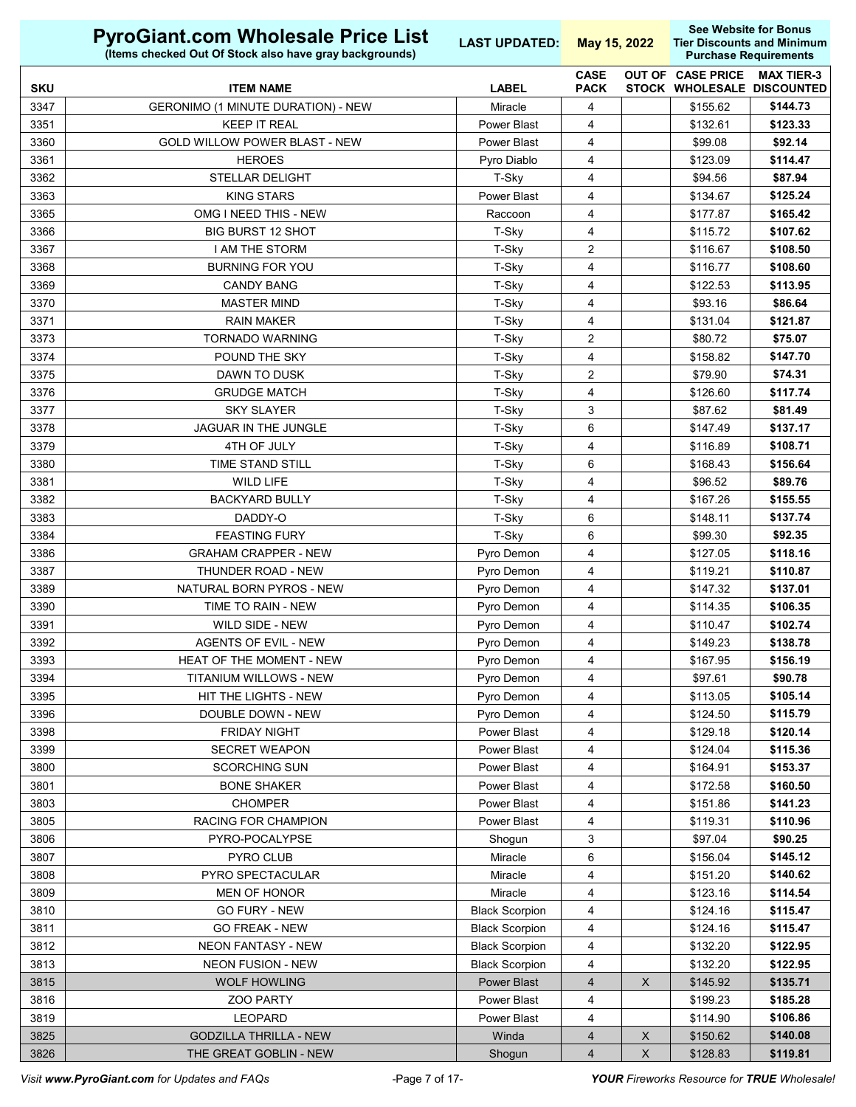**(Items checked Out Of Stock also have gray backgrounds)**

**LAST UPDATED: May 15, 2022**

| <b>SKU</b> | <b>ITEM NAME</b>                          | <b>LABEL</b>          | <b>CASE</b><br><b>PACK</b> |   | <b>OUT OF CASE PRICE</b><br>STOCK WHOLESALE DISCOUNTED | <b>MAX TIER-3</b> |
|------------|-------------------------------------------|-----------------------|----------------------------|---|--------------------------------------------------------|-------------------|
| 3347       | <b>GERONIMO (1 MINUTE DURATION) - NEW</b> | Miracle               | $\overline{4}$             |   | \$155.62                                               | \$144.73          |
| 3351       | <b>KEEP IT REAL</b>                       | Power Blast           | 4                          |   | \$132.61                                               | \$123.33          |
| 3360       | <b>GOLD WILLOW POWER BLAST - NEW</b>      | Power Blast           | 4                          |   | \$99.08                                                | \$92.14           |
| 3361       | <b>HEROES</b>                             | Pyro Diablo           | 4                          |   | \$123.09                                               | \$114.47          |
| 3362       | <b>STELLAR DELIGHT</b>                    | T-Sky                 | 4                          |   | \$94.56                                                | \$87.94           |
| 3363       | <b>KING STARS</b>                         | Power Blast           | 4                          |   | \$134.67                                               | \$125.24          |
| 3365       | OMG I NEED THIS - NEW                     | Raccoon               | 4                          |   | \$177.87                                               | \$165.42          |
| 3366       | <b>BIG BURST 12 SHOT</b>                  | T-Sky                 | 4                          |   | \$115.72                                               | \$107.62          |
| 3367       | <b>I AM THE STORM</b>                     | T-Sky                 | $\overline{2}$             |   | \$116.67                                               | \$108.50          |
| 3368       | <b>BURNING FOR YOU</b>                    | T-Sky                 | 4                          |   | \$116.77                                               | \$108.60          |
| 3369       | <b>CANDY BANG</b>                         | T-Sky                 | 4                          |   | \$122.53                                               | \$113.95          |
| 3370       | <b>MASTER MIND</b>                        | T-Sky                 | 4                          |   | \$93.16                                                | \$86.64           |
| 3371       | <b>RAIN MAKER</b>                         | T-Sky                 | 4                          |   | \$131.04                                               | \$121.87          |
| 3373       | <b>TORNADO WARNING</b>                    | T-Sky                 | $\overline{2}$             |   | \$80.72                                                | \$75.07           |
| 3374       | POUND THE SKY                             | T-Sky                 | 4                          |   | \$158.82                                               | \$147.70          |
| 3375       | DAWN TO DUSK                              | T-Sky                 | $\overline{2}$             |   | \$79.90                                                | \$74.31           |
| 3376       | <b>GRUDGE MATCH</b>                       | T-Sky                 | 4                          |   | \$126.60                                               | \$117.74          |
| 3377       | <b>SKY SLAYER</b>                         | T-Sky                 | 3                          |   | \$87.62                                                | \$81.49           |
| 3378       | <b>JAGUAR IN THE JUNGLE</b>               | T-Sky                 | 6                          |   | \$147.49                                               | \$137.17          |
| 3379       | 4TH OF JULY                               | T-Sky                 | 4                          |   | \$116.89                                               | \$108.71          |
| 3380       | <b>TIME STAND STILL</b>                   | T-Sky                 | 6                          |   | \$168.43                                               | \$156.64          |
| 3381       | <b>WILD LIFE</b>                          | T-Sky                 | 4                          |   | \$96.52                                                | \$89.76           |
| 3382       | <b>BACKYARD BULLY</b>                     | T-Sky                 | 4                          |   | \$167.26                                               | \$155.55          |
| 3383       | DADDY-O                                   | T-Sky                 | 6                          |   | \$148.11                                               | \$137.74          |
| 3384       | <b>FEASTING FURY</b>                      | T-Sky                 | 6                          |   | \$99.30                                                | \$92.35           |
| 3386       | <b>GRAHAM CRAPPER - NEW</b>               | Pyro Demon            | 4                          |   | \$127.05                                               | \$118.16          |
| 3387       | THUNDER ROAD - NEW                        | Pyro Demon            | 4                          |   | \$119.21                                               | \$110.87          |
| 3389       | NATURAL BORN PYROS - NEW                  | Pyro Demon            | 4                          |   | \$147.32                                               | \$137.01          |
| 3390       | TIME TO RAIN - NEW                        | Pyro Demon            | 4                          |   | \$114.35                                               | \$106.35          |
| 3391       | WILD SIDE - NEW                           | Pyro Demon            | 4                          |   | \$110.47                                               | \$102.74          |
| 3392       | AGENTS OF EVIL - NEW                      | Pyro Demon            | 4                          |   | \$149.23                                               | \$138.78          |
| 3393       | <b>HEAT OF THE MOMENT - NEW</b>           | Pyro Demon            | 4                          |   | \$167.95                                               | \$156.19          |
| 3394       | TITANIUM WILLOWS - NEW                    | Pyro Demon            | 4                          |   | \$97.61                                                | \$90.78           |
| 3395       | HIT THE LIGHTS - NEW                      | Pyro Demon            | 4                          |   | \$113.05                                               | \$105.14          |
| 3396       | DOUBLE DOWN - NEW                         | Pyro Demon            | 4                          |   | \$124.50                                               | \$115.79          |
| 3398       | <b>FRIDAY NIGHT</b>                       | Power Blast           | 4                          |   | \$129.18                                               | \$120.14          |
| 3399       | <b>SECRET WEAPON</b>                      | Power Blast           | 4                          |   | \$124.04                                               | \$115.36          |
| 3800       | <b>SCORCHING SUN</b>                      | Power Blast           | 4                          |   | \$164.91                                               | \$153.37          |
| 3801       | <b>BONE SHAKER</b>                        | Power Blast           | 4                          |   | \$172.58                                               | \$160.50          |
| 3803       | <b>CHOMPER</b>                            | Power Blast           | 4                          |   | \$151.86                                               | \$141.23          |
| 3805       | RACING FOR CHAMPION                       | Power Blast           | 4                          |   | \$119.31                                               | \$110.96          |
| 3806       | PYRO-POCALYPSE                            | Shogun                | 3                          |   | \$97.04                                                | \$90.25           |
| 3807       | PYRO CLUB                                 | Miracle               | 6                          |   | \$156.04                                               | \$145.12          |
| 3808       | PYRO SPECTACULAR                          | Miracle               | 4                          |   | \$151.20                                               | \$140.62          |
| 3809       | <b>MEN OF HONOR</b>                       | Miracle               | 4                          |   | \$123.16                                               | \$114.54          |
| 3810       | <b>GO FURY - NEW</b>                      | <b>Black Scorpion</b> | 4                          |   | \$124.16                                               | \$115.47          |
| 3811       | <b>GO FREAK - NEW</b>                     | <b>Black Scorpion</b> | 4                          |   | \$124.16                                               | \$115.47          |
| 3812       | <b>NEON FANTASY - NEW</b>                 | <b>Black Scorpion</b> | 4                          |   | \$132.20                                               | \$122.95          |
| 3813       | <b>NEON FUSION - NEW</b>                  | <b>Black Scorpion</b> | 4                          |   | \$132.20                                               | \$122.95          |
| 3815       | <b>WOLF HOWLING</b>                       | <b>Power Blast</b>    | 4                          | X | \$145.92                                               | \$135.71          |
| 3816       | ZOO PARTY                                 | Power Blast           | 4                          |   | \$199.23                                               | \$185.28          |
| 3819       | <b>LEOPARD</b>                            | Power Blast           | 4                          |   | \$114.90                                               | \$106.86          |
| 3825       | <b>GODZILLA THRILLA - NEW</b>             | Winda                 | 4                          | X | \$150.62                                               | \$140.08          |
| 3826       | THE GREAT GOBLIN - NEW                    | Shogun                | $\overline{4}$             | Χ | \$128.83                                               | \$119.81          |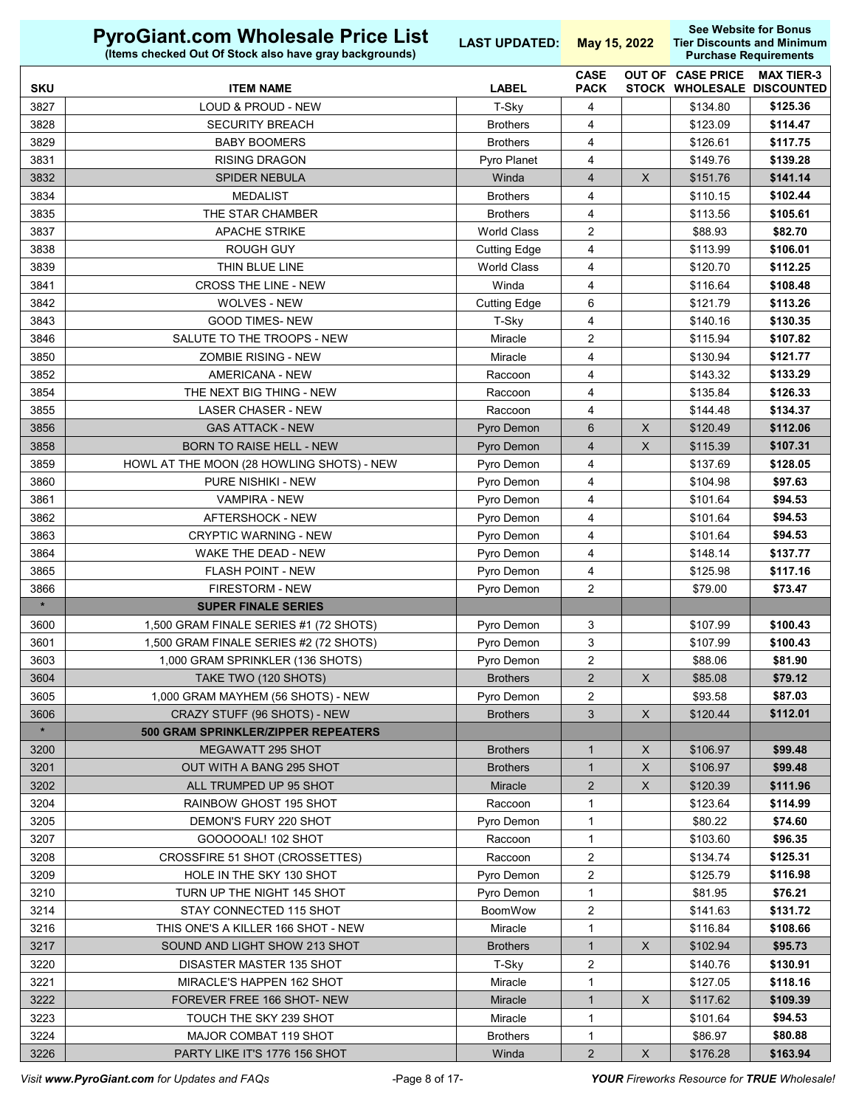**(Items checked Out Of Stock also have gray backgrounds)**

**LAST UPDATED: May 15, 2022**

| <b>SKU</b> | <b>ITEM NAME</b>                          | <b>LABEL</b>        | <b>CASE</b><br><b>PACK</b> |   | <b>OUT OF CASE PRICE</b><br>STOCK WHOLESALE DISCOUNTED | <b>MAX TIER-3</b> |
|------------|-------------------------------------------|---------------------|----------------------------|---|--------------------------------------------------------|-------------------|
| 3827       | LOUD & PROUD - NEW                        | T-Sky               | 4                          |   | \$134.80                                               | \$125.36          |
| 3828       | <b>SECURITY BREACH</b>                    | <b>Brothers</b>     | 4                          |   | \$123.09                                               | \$114.47          |
| 3829       | <b>BABY BOOMERS</b>                       | <b>Brothers</b>     | 4                          |   | \$126.61                                               | \$117.75          |
| 3831       | <b>RISING DRAGON</b>                      | Pyro Planet         | 4                          |   | \$149.76                                               | \$139.28          |
| 3832       | <b>SPIDER NEBULA</b>                      | Winda               | $\overline{4}$             | X | \$151.76                                               | \$141.14          |
| 3834       | <b>MEDALIST</b>                           | <b>Brothers</b>     | 4                          |   | \$110.15                                               | \$102.44          |
| 3835       | THE STAR CHAMBER                          | <b>Brothers</b>     | 4                          |   | \$113.56                                               | \$105.61          |
| 3837       | <b>APACHE STRIKE</b>                      | <b>World Class</b>  | 2                          |   | \$88.93                                                | \$82.70           |
| 3838       | ROUGH GUY                                 | <b>Cutting Edge</b> | 4                          |   | \$113.99                                               | \$106.01          |
| 3839       | THIN BLUE LINE                            | <b>World Class</b>  | 4                          |   | \$120.70                                               | \$112.25          |
| 3841       | <b>CROSS THE LINE - NEW</b>               | Winda               | 4                          |   | \$116.64                                               | \$108.48          |
| 3842       | <b>WOLVES - NEW</b>                       | <b>Cutting Edge</b> | 6                          |   | \$121.79                                               | \$113.26          |
| 3843       | <b>GOOD TIMES-NEW</b>                     | T-Sky               | 4                          |   | \$140.16                                               | \$130.35          |
| 3846       | SALUTE TO THE TROOPS - NEW                | Miracle             | $\boldsymbol{2}$           |   | \$115.94                                               | \$107.82          |
| 3850       | <b>ZOMBIE RISING - NEW</b>                | Miracle             | 4                          |   | \$130.94                                               | \$121.77          |
| 3852       | <b>AMERICANA - NEW</b>                    | Raccoon             | 4                          |   | \$143.32                                               | \$133.29          |
| 3854       | THE NEXT BIG THING - NEW                  | Raccoon             | 4                          |   | \$135.84                                               | \$126.33          |
| 3855       | <b>LASER CHASER - NEW</b>                 | Raccoon             | 4                          |   | \$144.48                                               | \$134.37          |
| 3856       | <b>GAS ATTACK - NEW</b>                   | Pyro Demon          | 6                          | X | \$120.49                                               | \$112.06          |
| 3858       | <b>BORN TO RAISE HELL - NEW</b>           | Pyro Demon          | 4                          | X | \$115.39                                               | \$107.31          |
| 3859       | HOWL AT THE MOON (28 HOWLING SHOTS) - NEW | Pyro Demon          | 4                          |   | \$137.69                                               | \$128.05          |
| 3860       | PURE NISHIKI - NEW                        | Pyro Demon          | 4                          |   | \$104.98                                               | \$97.63           |
| 3861       | <b>VAMPIRA - NEW</b>                      | Pyro Demon          | 4                          |   | \$101.64                                               | \$94.53           |
| 3862       | AFTERSHOCK - NEW                          | Pyro Demon          | 4                          |   | \$101.64                                               | \$94.53           |
| 3863       | <b>CRYPTIC WARNING - NEW</b>              | Pyro Demon          | 4                          |   | \$101.64                                               | \$94.53           |
| 3864       | WAKE THE DEAD - NEW                       | Pyro Demon          | 4                          |   | \$148.14                                               | \$137.77          |
| 3865       | <b>FLASH POINT - NEW</b>                  | Pyro Demon          | 4                          |   | \$125.98                                               | \$117.16          |
| 3866       | <b>FIRESTORM - NEW</b>                    | Pyro Demon          | $\overline{2}$             |   | \$79.00                                                | \$73.47           |
| $\star$    | <b>SUPER FINALE SERIES</b>                |                     |                            |   |                                                        |                   |
| 3600       | 1,500 GRAM FINALE SERIES #1 (72 SHOTS)    | Pyro Demon          | 3                          |   | \$107.99                                               | \$100.43          |
| 3601       | 1,500 GRAM FINALE SERIES #2 (72 SHOTS)    | Pyro Demon          | 3                          |   | \$107.99                                               | \$100.43          |
| 3603       | 1,000 GRAM SPRINKLER (136 SHOTS)          | Pyro Demon          | $\boldsymbol{2}$           |   | \$88.06                                                | \$81.90           |
| 3604       | TAKE TWO (120 SHOTS)                      | <b>Brothers</b>     | $\overline{2}$             | X | \$85.08                                                | \$79.12           |
| 3605       | 1,000 GRAM MAYHEM (56 SHOTS) - NEW        | Pyro Demon          | 2                          |   | \$93.58                                                | \$87.03           |
| 3606       | CRAZY STUFF (96 SHOTS) - NEW              | <b>Brothers</b>     | 3                          | X | \$120.44                                               | \$112.01          |
| $\star$    | 500 GRAM SPRINKLER/ZIPPER REPEATERS       |                     |                            |   |                                                        |                   |
| 3200       | <b>MEGAWATT 295 SHOT</b>                  | <b>Brothers</b>     | $\mathbf{1}$               | X | \$106.97                                               | \$99.48           |
| 3201       | OUT WITH A BANG 295 SHOT                  | <b>Brothers</b>     | $\mathbf{1}$               | X | \$106.97                                               | \$99.48           |
| 3202       | ALL TRUMPED UP 95 SHOT                    | Miracle             | $\overline{2}$             | X | \$120.39                                               | \$111.96          |
| 3204       | RAINBOW GHOST 195 SHOT                    | Raccoon             | 1                          |   | \$123.64                                               | \$114.99          |
| 3205       | DEMON'S FURY 220 SHOT                     | Pyro Demon          | 1                          |   | \$80.22                                                | \$74.60           |
| 3207       | GOOOOOAL! 102 SHOT                        | Raccoon             | 1                          |   | \$103.60                                               | \$96.35           |
| 3208       | CROSSFIRE 51 SHOT (CROSSETTES)            | Raccoon             | $\overline{\mathbf{c}}$    |   | \$134.74                                               | \$125.31          |
| 3209       | HOLE IN THE SKY 130 SHOT                  | Pyro Demon          | $\overline{\mathbf{c}}$    |   | \$125.79                                               | \$116.98          |
| 3210       | TURN UP THE NIGHT 145 SHOT                | Pyro Demon          | 1                          |   | \$81.95                                                | \$76.21           |
| 3214       | STAY CONNECTED 115 SHOT                   | <b>BoomWow</b>      | $\overline{\mathbf{c}}$    |   | \$141.63                                               | \$131.72          |
| 3216       | THIS ONE'S A KILLER 166 SHOT - NEW        | Miracle             | 1                          |   | \$116.84                                               | \$108.66          |
| 3217       | SOUND AND LIGHT SHOW 213 SHOT             | <b>Brothers</b>     | $\mathbf{1}$               | X | \$102.94                                               | \$95.73           |
| 3220       | DISASTER MASTER 135 SHOT                  | T-Sky               | $\overline{\mathbf{c}}$    |   | \$140.76                                               | \$130.91          |
| 3221       | MIRACLE'S HAPPEN 162 SHOT                 | Miracle             | 1                          |   | \$127.05                                               | \$118.16          |
| 3222       | FOREVER FREE 166 SHOT- NEW                | Miracle             | $\mathbf{1}$               | X | \$117.62                                               | \$109.39          |
| 3223       | TOUCH THE SKY 239 SHOT                    | Miracle             | $\mathbf{1}$               |   | \$101.64                                               | \$94.53           |
| 3224       | MAJOR COMBAT 119 SHOT                     | <b>Brothers</b>     | 1                          |   | \$86.97                                                | \$80.88           |
| 3226       | PARTY LIKE IT'S 1776 156 SHOT             | Winda               | $\overline{2}$             | X | \$176.28                                               | \$163.94          |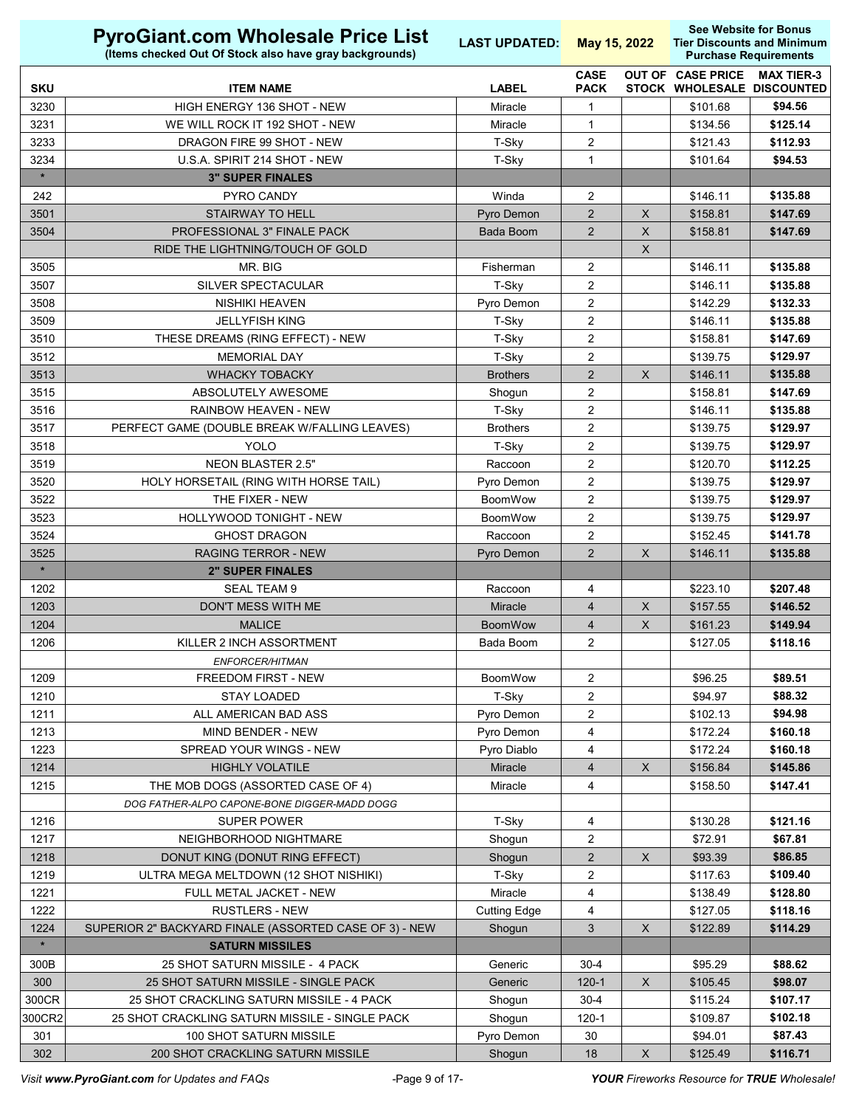**(Items checked Out Of Stock also have gray backgrounds)**

**LAST UPDATED: May 15, 2022**

**See Website for Bonus Tier Discounts and Minimum**

| (Items checked Out Of Stock also have gray backgrounds) |                                                        |                     |                            |                           | <b>Purchase Requirements</b>                               |          |
|---------------------------------------------------------|--------------------------------------------------------|---------------------|----------------------------|---------------------------|------------------------------------------------------------|----------|
| <b>SKU</b>                                              | <b>ITEM NAME</b>                                       | <b>LABEL</b>        | <b>CASE</b><br><b>PACK</b> |                           | OUT OF CASE PRICE MAX TIER-3<br>STOCK WHOLESALE DISCOUNTED |          |
| 3230                                                    | <b>HIGH ENERGY 136 SHOT - NEW</b>                      | Miracle             | 1                          |                           | \$101.68                                                   | \$94.56  |
| 3231                                                    | WE WILL ROCK IT 192 SHOT - NEW                         | Miracle             | $\mathbf{1}$               |                           | \$134.56                                                   | \$125.14 |
| 3233                                                    | DRAGON FIRE 99 SHOT - NEW                              | T-Sky               | 2                          |                           | \$121.43                                                   | \$112.93 |
| 3234                                                    | U.S.A. SPIRIT 214 SHOT - NEW                           | T-Sky               | 1                          |                           | \$101.64                                                   | \$94.53  |
|                                                         | <b>3" SUPER FINALES</b>                                |                     |                            |                           |                                                            |          |
| 242                                                     | <b>PYRO CANDY</b>                                      | Winda               | 2                          |                           | \$146.11                                                   | \$135.88 |
| 3501                                                    | <b>STAIRWAY TO HELL</b>                                | Pyro Demon          | $\overline{2}$             | X                         | \$158.81                                                   | \$147.69 |
| 3504                                                    | PROFESSIONAL 3" FINALE PACK                            | Bada Boom           | $\overline{2}$             | $\boldsymbol{\mathsf{X}}$ | \$158.81                                                   | \$147.69 |
|                                                         | RIDE THE LIGHTNING/TOUCH OF GOLD                       |                     |                            | $\boldsymbol{\mathsf{X}}$ |                                                            |          |
| 3505                                                    | MR. BIG                                                | Fisherman           | 2                          |                           | \$146.11                                                   | \$135.88 |
| 3507                                                    | SILVER SPECTACULAR                                     | T-Sky               | 2                          |                           | \$146.11                                                   | \$135.88 |
| 3508                                                    | <b>NISHIKI HEAVEN</b>                                  | Pyro Demon          | $\overline{c}$             |                           | \$142.29                                                   | \$132.33 |
| 3509                                                    | <b>JELLYFISH KING</b>                                  | T-Sky               | $\overline{\mathbf{c}}$    |                           | \$146.11                                                   | \$135.88 |
| 3510                                                    | THESE DREAMS (RING EFFECT) - NEW                       | T-Sky               | 2                          |                           | \$158.81                                                   | \$147.69 |
| 3512                                                    | <b>MEMORIAL DAY</b>                                    | T-Sky               | 2                          |                           | \$139.75                                                   | \$129.97 |
| 3513                                                    | <b>WHACKY TOBACKY</b>                                  | <b>Brothers</b>     | 2                          | X                         | \$146.11                                                   | \$135.88 |
| 3515                                                    | ABSOLUTELY AWESOME                                     | Shogun              | $\overline{2}$             |                           | \$158.81                                                   | \$147.69 |
| 3516                                                    | RAINBOW HEAVEN - NEW                                   | T-Sky               | 2                          |                           | \$146.11                                                   | \$135.88 |
| 3517                                                    | PERFECT GAME (DOUBLE BREAK W/FALLING LEAVES)           | <b>Brothers</b>     | 2                          |                           | \$139.75                                                   | \$129.97 |
| 3518                                                    | <b>YOLO</b>                                            | T-Sky               | $\overline{c}$             |                           | \$139.75                                                   | \$129.97 |
| 3519                                                    | <b>NEON BLASTER 2.5"</b>                               | Raccoon             | $\overline{2}$             |                           | \$120.70                                                   | \$112.25 |
| 3520                                                    | HOLY HORSETAIL (RING WITH HORSE TAIL)                  | Pyro Demon          | 2                          |                           | \$139.75                                                   | \$129.97 |
| 3522                                                    | THE FIXER - NEW                                        | <b>BoomWow</b>      | 2                          |                           | \$139.75                                                   | \$129.97 |
| 3523                                                    | <b>HOLLYWOOD TONIGHT - NEW</b>                         | <b>BoomWow</b>      | $\overline{c}$             |                           | \$139.75                                                   | \$129.97 |
| 3524                                                    | <b>GHOST DRAGON</b>                                    | Raccoon             | $\overline{2}$             |                           | \$152.45                                                   | \$141.78 |
| 3525<br>$\star$                                         | <b>RAGING TERROR - NEW</b>                             | Pyro Demon          | 2                          | $\times$                  | \$146.11                                                   | \$135.88 |
|                                                         | <b>2" SUPER FINALES</b>                                |                     |                            |                           |                                                            |          |
| 1202                                                    | <b>SEAL TEAM 9</b>                                     | Raccoon             | 4                          |                           | \$223.10                                                   | \$207.48 |
| 1203                                                    | DON'T MESS WITH ME                                     | Miracle             | $\overline{4}$             | $\boldsymbol{\mathsf{X}}$ | \$157.55                                                   | \$146.52 |
| 1204                                                    | <b>MALICE</b>                                          | <b>BoomWow</b>      | $\overline{4}$             | $\boldsymbol{\mathsf{X}}$ | \$161.23                                                   | \$149.94 |
| 1206                                                    | KILLER 2 INCH ASSORTMENT                               | Bada Boom           | 2                          |                           | \$127.05                                                   | \$118.16 |
| 1209                                                    | <b>ENFORCER/HITMAN</b><br>FREEDOM FIRST - NEW          | <b>BoomWow</b>      | $\overline{c}$             |                           | \$96.25                                                    | \$89.51  |
| 1210                                                    | <b>STAY LOADED</b>                                     | T-Sky               | 2                          |                           | \$94.97                                                    | \$88.32  |
| 1211                                                    | ALL AMERICAN BAD ASS                                   | Pyro Demon          | 2                          |                           | \$102.13                                                   | \$94.98  |
| 1213                                                    | MIND BENDER - NEW                                      | Pyro Demon          | 4                          |                           | \$172.24                                                   | \$160.18 |
| 1223                                                    | SPREAD YOUR WINGS - NEW                                | Pyro Diablo         | 4                          |                           | \$172.24                                                   | \$160.18 |
| 1214                                                    | <b>HIGHLY VOLATILE</b>                                 | Miracle             | 4                          | $\boldsymbol{X}$          | \$156.84                                                   | \$145.86 |
| 1215                                                    | THE MOB DOGS (ASSORTED CASE OF 4)                      | Miracle             | 4                          |                           | \$158.50                                                   | \$147.41 |
|                                                         | DOG FATHER-ALPO CAPONE-BONE DIGGER-MADD DOGG           |                     |                            |                           |                                                            |          |
| 1216                                                    | <b>SUPER POWER</b>                                     | T-Sky               | 4                          |                           | \$130.28                                                   | \$121.16 |
| 1217                                                    | NEIGHBORHOOD NIGHTMARE                                 | Shogun              | 2                          |                           | \$72.91                                                    | \$67.81  |
| 1218                                                    | DONUT KING (DONUT RING EFFECT)                         | Shogun              | $\overline{2}$             | X                         | \$93.39                                                    | \$86.85  |
| 1219                                                    | ULTRA MEGA MELTDOWN (12 SHOT NISHIKI)                  | T-Sky               | $\overline{c}$             |                           | \$117.63                                                   | \$109.40 |
| 1221                                                    | FULL METAL JACKET - NEW                                | Miracle             | 4                          |                           | \$138.49                                                   | \$128.80 |
| 1222                                                    | <b>RUSTLERS - NEW</b>                                  | <b>Cutting Edge</b> | 4                          |                           | \$127.05                                                   | \$118.16 |
| 1224                                                    | SUPERIOR 2" BACKYARD FINALE (ASSORTED CASE OF 3) - NEW | Shogun              | 3                          | X                         | \$122.89                                                   | \$114.29 |
| $\star$                                                 | <b>SATURN MISSILES</b>                                 |                     |                            |                           |                                                            |          |
| 300B                                                    | 25 SHOT SATURN MISSILE - 4 PACK                        | Generic             | $30 - 4$                   |                           | \$95.29                                                    | \$88.62  |
| 300                                                     | 25 SHOT SATURN MISSILE - SINGLE PACK                   | Generic             | $120 - 1$                  | $\mathsf{X}$              | \$105.45                                                   | \$98.07  |
| 300CR                                                   | 25 SHOT CRACKLING SATURN MISSILE - 4 PACK              | Shogun              | $30 - 4$                   |                           | \$115.24                                                   | \$107.17 |
| 300CR2                                                  | 25 SHOT CRACKLING SATURN MISSILE - SINGLE PACK         | Shogun              | $120 - 1$                  |                           | \$109.87                                                   | \$102.18 |
| 301                                                     | 100 SHOT SATURN MISSILE                                | Pyro Demon          | 30                         |                           | \$94.01                                                    | \$87.43  |
| 302                                                     | 200 SHOT CRACKLING SATURN MISSILE                      | Shogun              | 18                         | $\mathsf X$               | \$125.49                                                   | \$116.71 |

*Visit www.PyroGiant.com for Updates and FAQs -*Page 9 of 17- *YOUR Fireworks Resource for TRUE Wholesale!*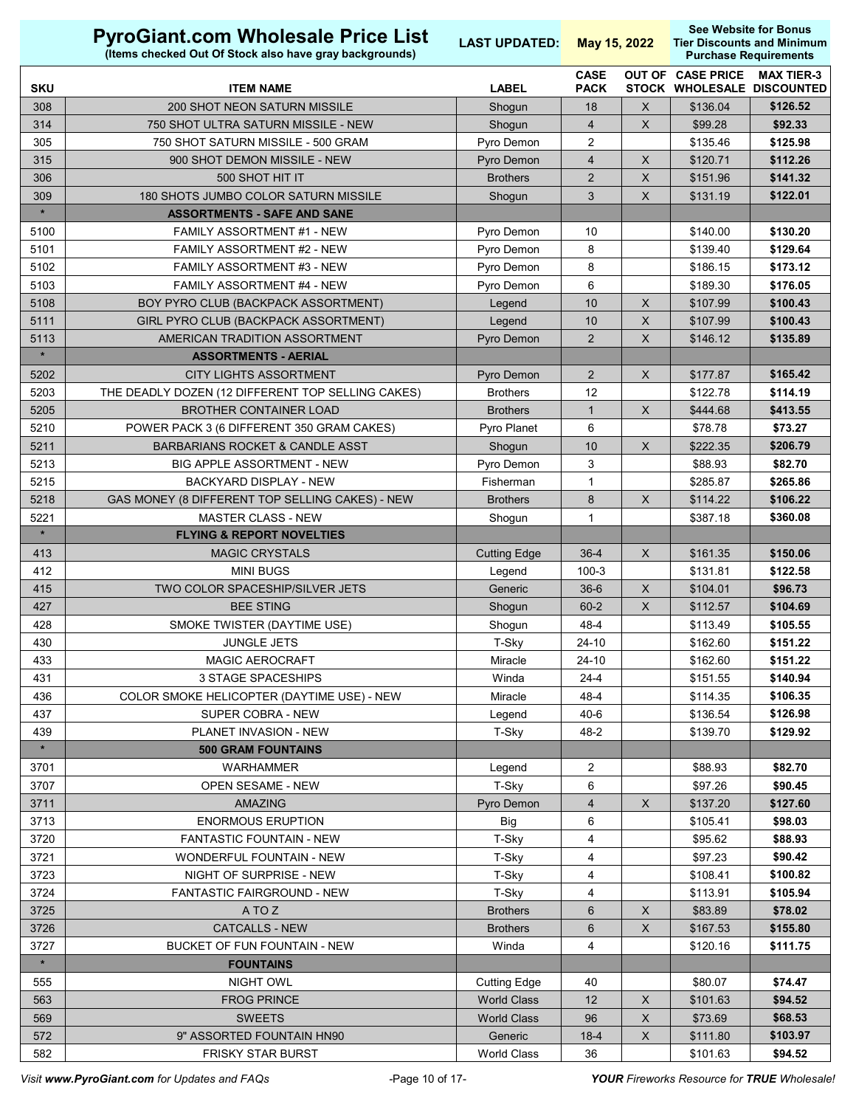**(Items checked Out Of Stock also have gray backgrounds)**

**LAST UPDATED: May 15, 2022**

**See Website for Bonus Tier Discounts and Minimum Purchase Requirements**

| <b>SKU</b>      | <b>ITEM NAME</b>                                   | <b>LABEL</b>        | <b>CASE</b><br><b>PACK</b> |                           | <b>OUT OF CASE PRICE</b><br>STOCK WHOLESALE DISCOUNTED | <b>MAX TIER-3</b> |
|-----------------|----------------------------------------------------|---------------------|----------------------------|---------------------------|--------------------------------------------------------|-------------------|
| 308             | <b>200 SHOT NEON SATURN MISSILE</b>                | Shogun              | 18                         | X                         | \$136.04                                               | \$126.52          |
| 314             | 750 SHOT ULTRA SATURN MISSILE - NEW                | Shogun              | 4                          | X                         | \$99.28                                                | \$92.33           |
| 305             | 750 SHOT SATURN MISSILE - 500 GRAM                 | Pyro Demon          | 2                          |                           | \$135.46                                               | \$125.98          |
| 315             | 900 SHOT DEMON MISSILE - NEW                       | Pyro Demon          | 4                          | X                         | \$120.71                                               | \$112.26          |
| 306             | 500 SHOT HIT IT                                    | <b>Brothers</b>     | 2                          | X                         | \$151.96                                               | \$141.32          |
| 309             | 180 SHOTS JUMBO COLOR SATURN MISSILE               | Shogun              | 3                          | X                         | \$131.19                                               | \$122.01          |
| $\star$         | <b>ASSORTMENTS - SAFE AND SANE</b>                 |                     |                            |                           |                                                        |                   |
| 5100            | <b>FAMILY ASSORTMENT #1 - NEW</b>                  | Pyro Demon          | 10                         |                           | \$140.00                                               | \$130.20          |
| 5101            | <b>FAMILY ASSORTMENT #2 - NEW</b>                  | Pyro Demon          | 8                          |                           | \$139.40                                               | \$129.64          |
| 5102            | <b>FAMILY ASSORTMENT #3 - NEW</b>                  | Pyro Demon          | 8                          |                           | \$186.15                                               | \$173.12          |
| 5103            | FAMILY ASSORTMENT #4 - NEW                         | Pyro Demon          | 6                          |                           | \$189.30                                               | \$176.05          |
| 5108            | BOY PYRO CLUB (BACKPACK ASSORTMENT)                | Legend              | 10                         | X                         | \$107.99                                               | \$100.43          |
| 5111            | GIRL PYRO CLUB (BACKPACK ASSORTMENT)               | Legend              | 10                         | X                         | \$107.99                                               | \$100.43          |
| 5113            | AMERICAN TRADITION ASSORTMENT                      | Pyro Demon          | $\overline{2}$             | X                         | \$146.12                                               | \$135.89          |
| $\star$         | <b>ASSORTMENTS - AERIAL</b>                        |                     |                            |                           |                                                        |                   |
| 5202            | <b>CITY LIGHTS ASSORTMENT</b>                      | Pyro Demon          | $\overline{2}$             | X                         | \$177.87                                               | \$165.42          |
| 5203            | THE DEADLY DOZEN (12 DIFFERENT TOP SELLING CAKES)  | <b>Brothers</b>     | 12                         |                           | \$122.78                                               | \$114.19          |
| 5205            | <b>BROTHER CONTAINER LOAD</b>                      | <b>Brothers</b>     | $\mathbf{1}$               | X                         | \$444.68                                               | \$413.55          |
| 5210            | POWER PACK 3 (6 DIFFERENT 350 GRAM CAKES)          | Pyro Planet         | 6                          |                           | \$78.78                                                | \$73.27           |
| 5211            | <b>BARBARIANS ROCKET &amp; CANDLE ASST</b>         | Shoqun              | 10                         | X                         | \$222.35                                               | \$206.79          |
| 5213            | <b>BIG APPLE ASSORTMENT - NEW</b>                  | Pyro Demon          | 3                          |                           | \$88.93                                                | \$82.70           |
| 5215            | <b>BACKYARD DISPLAY - NEW</b>                      | Fisherman           | $\mathbf{1}$               |                           | \$285.87                                               | \$265.86          |
| 5218            | GAS MONEY (8 DIFFERENT TOP SELLING CAKES) - NEW    | <b>Brothers</b>     | 8                          | X                         | \$114.22                                               | \$106.22          |
| 5221            | <b>MASTER CLASS - NEW</b>                          | Shogun              | $\mathbf{1}$               |                           | \$387.18                                               | \$360.08          |
| $\star$         | <b>FLYING &amp; REPORT NOVELTIES</b>               |                     |                            |                           |                                                        |                   |
| 413             | <b>MAGIC CRYSTALS</b>                              | <b>Cutting Edge</b> | $36-4$                     | X                         | \$161.35                                               | \$150.06          |
| 412             | <b>MINI BUGS</b>                                   | Legend              | $100-3$                    |                           | \$131.81                                               | \$122.58          |
| 415             | TWO COLOR SPACESHIP/SILVER JETS                    | Generic             | $36-6$                     | X                         | \$104.01                                               | \$96.73           |
| 427             | <b>BEE STING</b>                                   |                     | $60 - 2$                   | X                         | \$112.57                                               | \$104.69          |
| 428             | SMOKE TWISTER (DAYTIME USE)                        | Shogun<br>Shogun    | 48-4                       |                           | \$113.49                                               | \$105.55          |
| 430             |                                                    |                     | $24 - 10$                  |                           |                                                        |                   |
| 433             | <b>JUNGLE JETS</b>                                 | T-Sky               |                            |                           | \$162.60                                               | \$151.22          |
| 431             | <b>MAGIC AEROCRAFT</b>                             | Miracle<br>Winda    | $24 - 10$                  |                           | \$162.60                                               | \$151.22          |
|                 | 3 STAGE SPACESHIPS                                 |                     | $24 - 4$                   |                           | \$151.55                                               | \$140.94          |
| 436<br>437      | COLOR SMOKE HELICOPTER (DAYTIME USE) - NEW         | Miracle             | 48-4<br>$40 - 6$           |                           | \$114.35<br>\$136.54                                   | \$106.35          |
|                 | SUPER COBRA - NEW                                  | Legend              |                            |                           |                                                        | \$126.98          |
| 439<br>$\star$  | PLANET INVASION - NEW<br><b>500 GRAM FOUNTAINS</b> | T-Sky               | 48-2                       |                           | \$139.70                                               | \$129.92          |
|                 |                                                    |                     |                            |                           |                                                        |                   |
| 3701            | WARHAMMER                                          | Legend              | 2                          |                           | \$88.93                                                | \$82.70           |
| 3707            | OPEN SESAME - NEW                                  | T-Sky               | 6                          |                           | \$97.26                                                | \$90.45           |
| 3711            | <b>AMAZING</b>                                     | Pyro Demon          | 4                          | X                         | \$137.20                                               | \$127.60          |
| 3713            | <b>ENORMOUS ERUPTION</b>                           | <b>Big</b>          | 6                          |                           | \$105.41                                               | \$98.03           |
| 3720            | <b>FANTASTIC FOUNTAIN - NEW</b>                    | T-Sky               | 4                          |                           | \$95.62                                                | \$88.93           |
| 3721            | WONDERFUL FOUNTAIN - NEW                           | T-Sky               | 4                          |                           | \$97.23                                                | \$90.42           |
| 3723            | NIGHT OF SURPRISE - NEW                            | T-Sky               | 4                          |                           | \$108.41                                               | \$100.82          |
| 3724            | <b>FANTASTIC FAIRGROUND - NEW</b>                  | T-Sky               | 4                          |                           | \$113.91                                               | \$105.94          |
| 3725            | A TO Z                                             | <b>Brothers</b>     | 6                          | X                         | \$83.89                                                | \$78.02           |
| 3726            | <b>CATCALLS - NEW</b>                              | <b>Brothers</b>     | 6                          | X                         | \$167.53                                               | \$155.80          |
| 3727<br>$\star$ | <b>BUCKET OF FUN FOUNTAIN - NEW</b>                | Winda               | 4                          |                           | \$120.16                                               | \$111.75          |
|                 | <b>FOUNTAINS</b>                                   |                     |                            |                           |                                                        |                   |
| 555             | <b>NIGHT OWL</b>                                   | <b>Cutting Edge</b> | 40                         |                           | \$80.07                                                | \$74.47           |
| 563             | <b>FROG PRINCE</b>                                 | <b>World Class</b>  | 12                         | X                         | \$101.63                                               | \$94.52           |
| 569             | <b>SWEETS</b>                                      | <b>World Class</b>  | 96                         | X                         | \$73.69                                                | \$68.53           |
| 572             | 9" ASSORTED FOUNTAIN HN90                          | Generic             | $18 - 4$                   | $\boldsymbol{\mathsf{X}}$ | \$111.80                                               | \$103.97          |
| 582             | <b>FRISKY STAR BURST</b>                           | <b>World Class</b>  | 36                         |                           | \$101.63                                               | \$94.52           |

*Visit www.PyroGiant.com for Updates and FAQs -*Page 10 of 17- *YOUR Fireworks Resource for TRUE Wholesale!*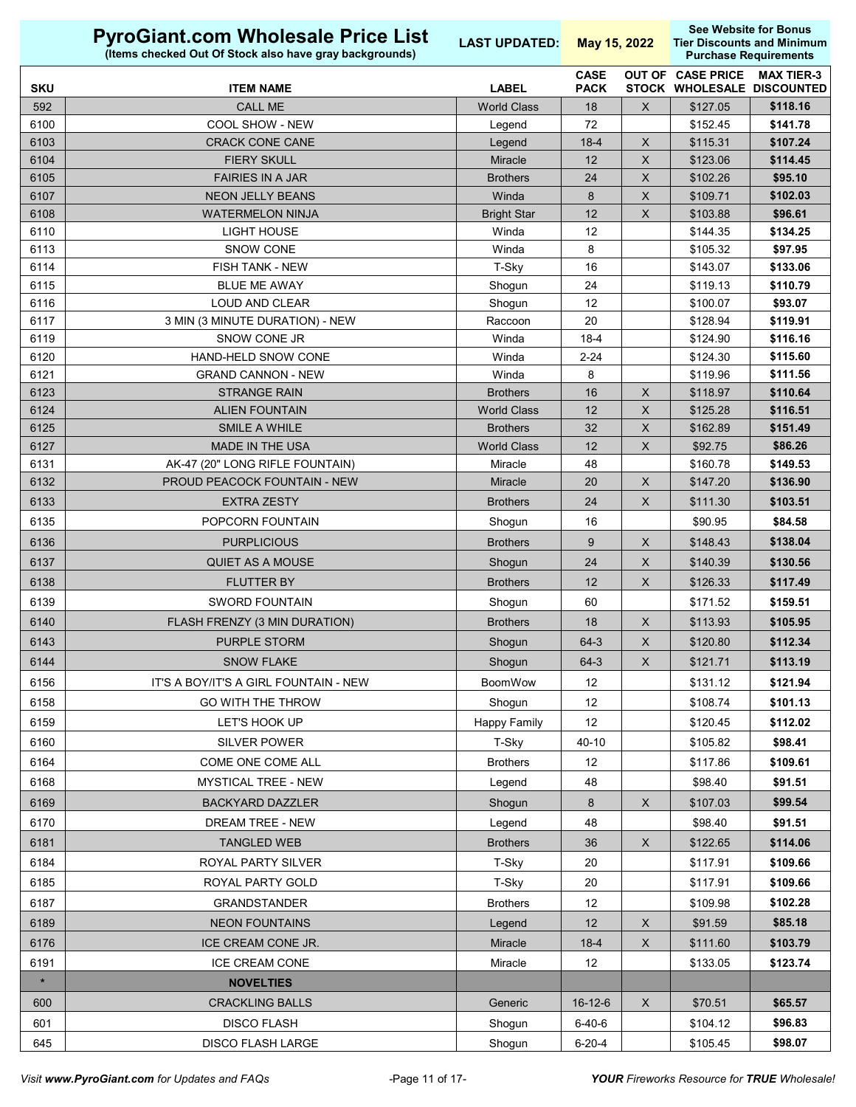**(Items checked Out Of Stock also have gray backgrounds)**

**LAST UPDATED: May 15, 2022**

| <b>SKU</b>   | <b>ITEM NAME</b>                                 | <b>LABEL</b>                          | <b>CASE</b><br><b>PACK</b> |             | OUT OF CASE PRICE    | <b>MAX TIER-3</b><br>STOCK WHOLESALE DISCOUNTED |
|--------------|--------------------------------------------------|---------------------------------------|----------------------------|-------------|----------------------|-------------------------------------------------|
| 592          | <b>CALL ME</b>                                   | <b>World Class</b>                    | 18                         | $\sf X$     | \$127.05             | \$118.16                                        |
| 6100         | COOL SHOW - NEW                                  | Legend                                | 72                         |             | \$152.45             | \$141.78                                        |
| 6103         | <b>CRACK CONE CANE</b>                           | Legend                                | $18 - 4$                   | X           | \$115.31             | \$107.24                                        |
| 6104         | <b>FIERY SKULL</b>                               | Miracle                               | 12                         | X           | \$123.06             | \$114.45                                        |
| 6105         | <b>FAIRIES IN A JAR</b>                          | <b>Brothers</b>                       | 24                         | X           | \$102.26             | \$95.10                                         |
| 6107         | <b>NEON JELLY BEANS</b>                          | Winda                                 | 8                          | X           | \$109.71             | \$102.03                                        |
| 6108         | <b>WATERMELON NINJA</b>                          | <b>Bright Star</b>                    | 12                         | X           | \$103.88             | \$96.61                                         |
| 6110         | <b>LIGHT HOUSE</b>                               | Winda                                 | 12                         |             | \$144.35             | \$134.25                                        |
| 6113         | <b>SNOW CONE</b>                                 | Winda                                 | 8                          |             | \$105.32             | \$97.95                                         |
| 6114         | <b>FISH TANK - NEW</b>                           | T-Sky                                 | 16                         |             | \$143.07             | \$133.06                                        |
| 6115         | <b>BLUE ME AWAY</b>                              | Shogun                                | 24                         |             | \$119.13             | \$110.79                                        |
| 6116         | LOUD AND CLEAR                                   | Shogun                                | 12                         |             | \$100.07             | \$93.07                                         |
| 6117         | 3 MIN (3 MINUTE DURATION) - NEW                  | Raccoon                               | 20                         |             | \$128.94             | \$119.91                                        |
| 6119         | SNOW CONE JR                                     | Winda                                 | $18 - 4$                   |             | \$124.90             | \$116.16                                        |
| 6120         | HAND-HELD SNOW CONE                              | Winda                                 | $2 - 24$                   |             | \$124.30             | \$115.60                                        |
| 6121<br>6123 | <b>GRAND CANNON - NEW</b><br><b>STRANGE RAIN</b> | Winda                                 | 8<br>16                    | X           | \$119.96             | \$111.56<br>\$110.64                            |
| 6124         | <b>ALIEN FOUNTAIN</b>                            | <b>Brothers</b><br><b>World Class</b> | 12                         | X           | \$118.97<br>\$125.28 | \$116.51                                        |
| 6125         | SMILE A WHILE                                    | <b>Brothers</b>                       | 32                         | X           | \$162.89             | \$151.49                                        |
| 6127         | MADE IN THE USA                                  | <b>World Class</b>                    | 12                         | X           | \$92.75              | \$86.26                                         |
| 6131         | AK-47 (20" LONG RIFLE FOUNTAIN)                  | Miracle                               | 48                         |             | \$160.78             | \$149.53                                        |
| 6132         | PROUD PEACOCK FOUNTAIN - NEW                     | Miracle                               | 20                         | X           | \$147.20             | \$136.90                                        |
| 6133         | <b>EXTRA ZESTY</b>                               | <b>Brothers</b>                       | 24                         | X           | \$111.30             | \$103.51                                        |
| 6135         | POPCORN FOUNTAIN                                 | Shogun                                | 16                         |             | \$90.95              | \$84.58                                         |
|              |                                                  |                                       | 9                          | X           |                      |                                                 |
| 6136         | <b>PURPLICIOUS</b>                               | <b>Brothers</b>                       |                            |             | \$148.43             | \$138.04                                        |
| 6137         | <b>QUIET AS A MOUSE</b>                          | Shogun                                | 24                         | X           | \$140.39             | \$130.56                                        |
| 6138         | <b>FLUTTER BY</b>                                | <b>Brothers</b>                       | 12                         | X           | \$126.33             | \$117.49                                        |
| 6139         | <b>SWORD FOUNTAIN</b>                            | Shogun                                | 60                         |             | \$171.52             | \$159.51                                        |
| 6140         | FLASH FRENZY (3 MIN DURATION)                    | <b>Brothers</b>                       | 18                         | X           | \$113.93             | \$105.95                                        |
| 6143         | <b>PURPLE STORM</b>                              | Shogun                                | 64-3                       | $\times$    | \$120.80             | \$112.34                                        |
| 6144         | <b>SNOW FLAKE</b>                                | Shogun                                | 64-3                       | X           | \$121.71             | \$113.19                                        |
| 6156         | IT'S A BOY/IT'S A GIRL FOUNTAIN - NEW            | <b>BoomWow</b>                        | 12                         |             | \$131.12             | \$121.94                                        |
| 6158         | <b>GO WITH THE THROW</b>                         | Shogun                                | 12                         |             | \$108.74             | \$101.13                                        |
| 6159         | LET'S HOOK UP                                    | <b>Happy Family</b>                   | 12                         |             | \$120.45             | \$112.02                                        |
| 6160         | <b>SILVER POWER</b>                              | T-Sky                                 | 40-10                      |             | \$105.82             | \$98.41                                         |
| 6164         | COME ONE COME ALL                                | <b>Brothers</b>                       | 12                         |             | \$117.86             | \$109.61                                        |
| 6168         | <b>MYSTICAL TREE - NEW</b>                       | Legend                                | 48                         |             | \$98.40              | \$91.51                                         |
| 6169         | <b>BACKYARD DAZZLER</b>                          | Shogun                                | 8                          | X           | \$107.03             | \$99.54                                         |
| 6170         | DREAM TREE - NEW                                 | Legend                                | 48                         |             | \$98.40              | \$91.51                                         |
| 6181         | <b>TANGLED WEB</b>                               | <b>Brothers</b>                       | 36                         | X           | \$122.65             | \$114.06                                        |
| 6184         | ROYAL PARTY SILVER                               | T-Sky                                 | 20                         |             | \$117.91             | \$109.66                                        |
| 6185         | ROYAL PARTY GOLD                                 | T-Sky                                 | 20                         |             | \$117.91             | \$109.66                                        |
|              |                                                  |                                       |                            |             |                      |                                                 |
| 6187         | <b>GRANDSTANDER</b>                              | <b>Brothers</b>                       | 12                         |             | \$109.98             | \$102.28                                        |
| 6189         | <b>NEON FOUNTAINS</b>                            | Legend                                | 12                         | X           | \$91.59              | \$85.18                                         |
| 6176         | ICE CREAM CONE JR.                               | Miracle                               | $18 - 4$                   | X           | \$111.60             | \$103.79                                        |
| 6191         | <b>ICE CREAM CONE</b>                            | Miracle                               | 12                         |             | \$133.05             | \$123.74                                        |
| $\star$      | <b>NOVELTIES</b>                                 |                                       |                            |             |                      |                                                 |
| 600          | <b>CRACKLING BALLS</b>                           | Generic                               | 16-12-6                    | $\mathsf X$ | \$70.51              | \$65.57                                         |
| 601          | <b>DISCO FLASH</b>                               | Shogun                                | $6 - 40 - 6$               |             | \$104.12             | \$96.83                                         |
| 645          | DISCO FLASH LARGE                                | Shogun                                | $6 - 20 - 4$               |             | \$105.45             | \$98.07                                         |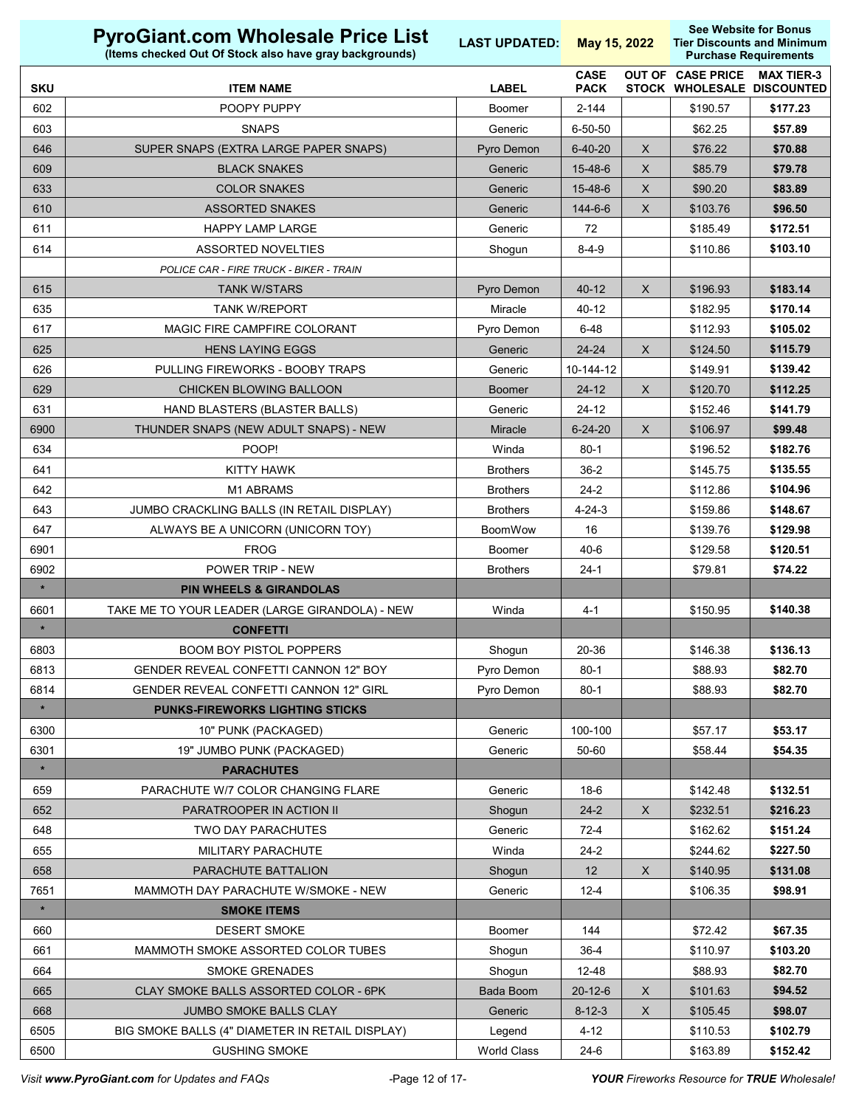**(Items checked Out Of Stock also have gray backgrounds)**

**LAST UPDATED: May 15, 2022**

**See Website for Bonus Tier Discounts and Minimum**

|            | (Items checked Out Of Stock also have gray backgrounds) |                    |                     |   | <b>Purchase Requirements</b>                           |                   |
|------------|---------------------------------------------------------|--------------------|---------------------|---|--------------------------------------------------------|-------------------|
| <b>SKU</b> | <b>ITEM NAME</b>                                        | <b>LABEL</b>       | <b>CASE</b><br>PACK |   | <b>OUT OF CASE PRICE</b><br>STOCK WHOLESALE DISCOUNTED | <b>MAX TIER-3</b> |
| 602        | POOPY PUPPY                                             | <b>Boomer</b>      | 2-144               |   | \$190.57                                               | \$177.23          |
| 603        | <b>SNAPS</b>                                            | Generic            | 6-50-50             |   | \$62.25                                                | \$57.89           |
| 646        | SUPER SNAPS (EXTRA LARGE PAPER SNAPS)                   | Pyro Demon         | $6 - 40 - 20$       | X | \$76.22                                                | \$70.88           |
| 609        | <b>BLACK SNAKES</b>                                     | Generic            | 15-48-6             | X | \$85.79                                                | \$79.78           |
| 633        | <b>COLOR SNAKES</b>                                     | Generic            | 15-48-6             | X | \$90.20                                                | \$83.89           |
| 610        | <b>ASSORTED SNAKES</b>                                  | Generic            | 144-6-6             | X | \$103.76                                               | \$96.50           |
| 611        | <b>HAPPY LAMP LARGE</b>                                 | Generic            | 72                  |   | \$185.49                                               | \$172.51          |
| 614        | <b>ASSORTED NOVELTIES</b>                               | Shogun             | $8 - 4 - 9$         |   | \$110.86                                               | \$103.10          |
|            | POLICE CAR - FIRE TRUCK - BIKER - TRAIN                 |                    |                     |   |                                                        |                   |
| 615        | <b>TANK W/STARS</b>                                     | Pyro Demon         | $40 - 12$           | X | \$196.93                                               | \$183.14          |
| 635        | <b>TANK W/REPORT</b>                                    | Miracle            | $40 - 12$           |   | \$182.95                                               | \$170.14          |
| 617        | MAGIC FIRE CAMPFIRE COLORANT                            | Pyro Demon         | $6 - 48$            |   | \$112.93                                               | \$105.02          |
| 625        | <b>HENS LAYING EGGS</b>                                 | Generic            | $24 - 24$           | X | \$124.50                                               | \$115.79          |
| 626        | PULLING FIREWORKS - BOOBY TRAPS                         | Generic            | 10-144-12           |   | \$149.91                                               | \$139.42          |
| 629        | <b>CHICKEN BLOWING BALLOON</b>                          | <b>Boomer</b>      | 24-12               | X | \$120.70                                               | \$112.25          |
| 631        | HAND BLASTERS (BLASTER BALLS)                           | Generic            | $24-12$             |   | \$152.46                                               | \$141.79          |
| 6900       | THUNDER SNAPS (NEW ADULT SNAPS) - NEW                   | Miracle            | $6 - 24 - 20$       | X | \$106.97                                               | \$99.48           |
| 634        | POOP!                                                   | Winda              | $80-1$              |   | \$196.52                                               | \$182.76          |
| 641        | KITTY HAWK                                              | <b>Brothers</b>    | $36-2$              |   | \$145.75                                               | \$135.55          |
| 642        | M1 ABRAMS                                               | <b>Brothers</b>    | $24-2$              |   | \$112.86                                               | \$104.96          |
| 643        | JUMBO CRACKLING BALLS (IN RETAIL DISPLAY)               | <b>Brothers</b>    | $4 - 24 - 3$        |   | \$159.86                                               | \$148.67          |
| 647        | ALWAYS BE A UNICORN (UNICORN TOY)                       | <b>BoomWow</b>     | 16                  |   | \$139.76                                               | \$129.98          |
| 6901       | <b>FROG</b>                                             | <b>Boomer</b>      | $40 - 6$            |   | \$129.58                                               | \$120.51          |
| 6902       | POWER TRIP - NEW                                        | <b>Brothers</b>    | $24-1$              |   | \$79.81                                                | \$74.22           |
| $\star$    | <b>PIN WHEELS &amp; GIRANDOLAS</b>                      |                    |                     |   |                                                        |                   |
| 6601       | TAKE ME TO YOUR LEADER (LARGE GIRANDOLA) - NEW          | Winda              | $4 - 1$             |   | \$150.95                                               | \$140.38          |
| $\star$    | <b>CONFETTI</b>                                         |                    |                     |   |                                                        |                   |
| 6803       | <b>BOOM BOY PISTOL POPPERS</b>                          | Shogun             | 20-36               |   | \$146.38                                               | \$136.13          |
| 6813       | <b>GENDER REVEAL CONFETTI CANNON 12" BOY</b>            | Pyro Demon         | $80-1$              |   | \$88.93                                                | \$82.70           |
| 6814       | <b>GENDER REVEAL CONFETTI CANNON 12" GIRL</b>           | Pyro Demon         | $80-1$              |   | \$88.93                                                | \$82.70           |
|            | <b>PUNKS-FIREWORKS LIGHTING STICKS</b>                  |                    |                     |   |                                                        |                   |
| 6300       | 10" PUNK (PACKAGED)                                     | Generic            | 100-100             |   | \$57.17                                                | \$53.17           |
| 6301       | 19" JUMBO PUNK (PACKAGED)                               | Generic            | 50-60               |   | \$58.44                                                | \$54.35           |
| $\star$    | <b>PARACHUTES</b>                                       |                    |                     |   |                                                        |                   |
| 659        | PARACHUTE W/7 COLOR CHANGING FLARE                      | Generic            | $18-6$              |   | \$142.48                                               | \$132.51          |
| 652        | PARATROOPER IN ACTION II                                | Shogun             | $24 - 2$            | X | \$232.51                                               | \$216.23          |
| 648        | TWO DAY PARACHUTES                                      | Generic            | $72 - 4$            |   | \$162.62                                               | \$151.24          |
| 655        | MILITARY PARACHUTE                                      | Winda              | $24-2$              |   | \$244.62                                               | \$227.50          |
| 658        | PARACHUTE BATTALION                                     | Shogun             | 12                  | X | \$140.95                                               | \$131.08          |
| 7651       | MAMMOTH DAY PARACHUTE W/SMOKE - NEW                     | Generic            | $12 - 4$            |   | \$106.35                                               | \$98.91           |
| $\star$    | <b>SMOKE ITEMS</b>                                      |                    |                     |   |                                                        |                   |
| 660        | <b>DESERT SMOKE</b>                                     | Boomer             | 144                 |   | \$72.42                                                | \$67.35           |
| 661        | MAMMOTH SMOKE ASSORTED COLOR TUBES                      | Shogun             | $36-4$              |   | \$110.97                                               | \$103.20          |
| 664        | <b>SMOKE GRENADES</b>                                   | Shogun             | 12-48               |   | \$88.93                                                | \$82.70           |
| 665        | CLAY SMOKE BALLS ASSORTED COLOR - 6PK                   | Bada Boom          | $20-12-6$           | X | \$101.63                                               | \$94.52           |
| 668        | JUMBO SMOKE BALLS CLAY                                  | Generic            | $8 - 12 - 3$        | X | \$105.45                                               | \$98.07           |
| 6505       | BIG SMOKE BALLS (4" DIAMETER IN RETAIL DISPLAY)         | Legend             | $4 - 12$            |   | \$110.53                                               | \$102.79          |
| 6500       | <b>GUSHING SMOKE</b>                                    | <b>World Class</b> | $24-6$              |   | \$163.89                                               | \$152.42          |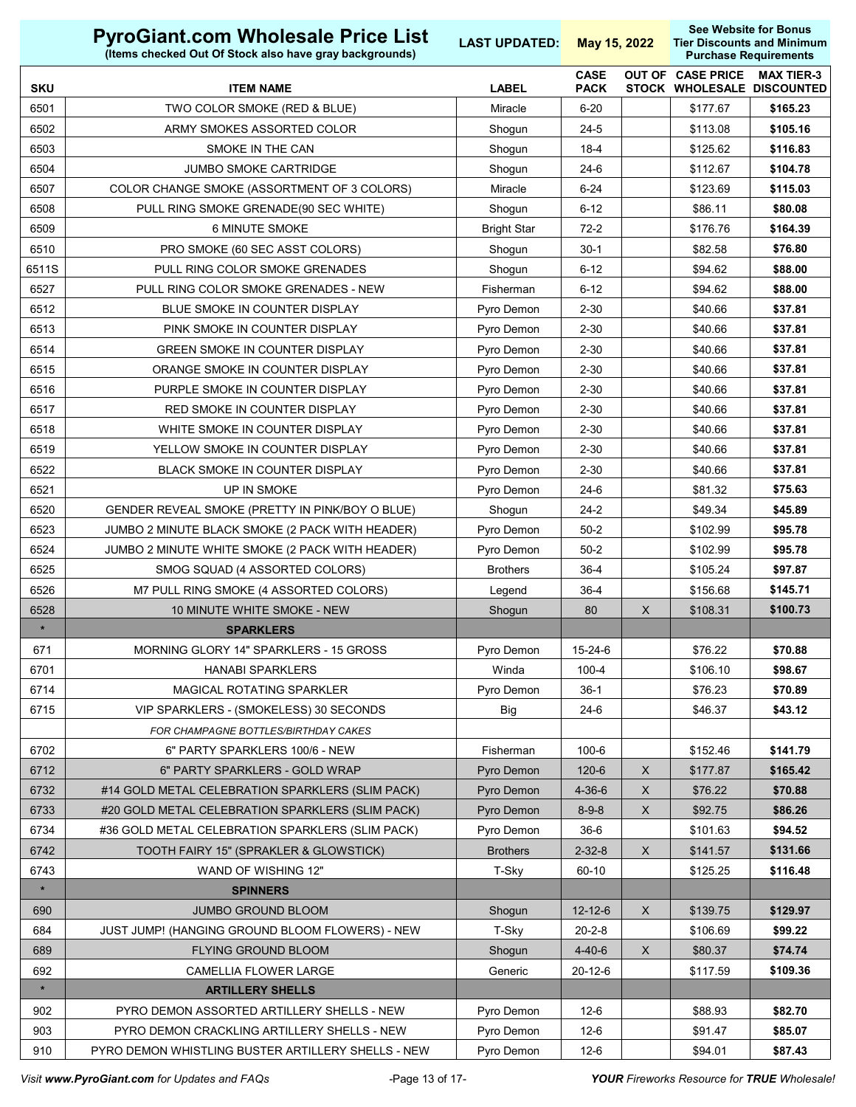**LAST UPDATED: May 15, 2022**

**See Website for Bonus Tier Discounts and Minimum**

|            | (Items checked Out Of Stock also have gray backgrounds) |                    |                            |   | <b>Purchase Requirements</b>                    |                   |
|------------|---------------------------------------------------------|--------------------|----------------------------|---|-------------------------------------------------|-------------------|
| <b>SKU</b> | <b>ITEM NAME</b>                                        | <b>LABEL</b>       | <b>CASE</b><br><b>PACK</b> |   | OUT OF CASE PRICE<br>STOCK WHOLESALE DISCOUNTED | <b>MAX TIER-3</b> |
| 6501       | TWO COLOR SMOKE (RED & BLUE)                            | Miracle            | $6 - 20$                   |   | \$177.67                                        | \$165.23          |
| 6502       | ARMY SMOKES ASSORTED COLOR                              | Shogun             | $24 - 5$                   |   | \$113.08                                        | \$105.16          |
| 6503       | SMOKE IN THE CAN                                        | Shogun             | 18-4                       |   | \$125.62                                        | \$116.83          |
| 6504       | <b>JUMBO SMOKE CARTRIDGE</b>                            | Shogun             | $24-6$                     |   | \$112.67                                        | \$104.78          |
| 6507       | COLOR CHANGE SMOKE (ASSORTMENT OF 3 COLORS)             | Miracle            | $6 - 24$                   |   | \$123.69                                        | \$115.03          |
| 6508       | PULL RING SMOKE GRENADE(90 SEC WHITE)                   | Shogun             | $6 - 12$                   |   | \$86.11                                         | \$80.08           |
| 6509       | 6 MINUTE SMOKE                                          | <b>Bright Star</b> | $72-2$                     |   | \$176.76                                        | \$164.39          |
| 6510       | PRO SMOKE (60 SEC ASST COLORS)                          | Shogun             | $30-1$                     |   | \$82.58                                         | \$76.80           |
| 6511S      | PULL RING COLOR SMOKE GRENADES                          | Shogun             | $6 - 12$                   |   | \$94.62                                         | \$88.00           |
| 6527       | PULL RING COLOR SMOKE GRENADES - NEW                    | Fisherman          | $6 - 12$                   |   | \$94.62                                         | \$88.00           |
| 6512       | BLUE SMOKE IN COUNTER DISPLAY                           | Pyro Demon         | $2 - 30$                   |   | \$40.66                                         | \$37.81           |
| 6513       | PINK SMOKE IN COUNTER DISPLAY                           | Pyro Demon         | $2 - 30$                   |   | \$40.66                                         | \$37.81           |
| 6514       | <b>GREEN SMOKE IN COUNTER DISPLAY</b>                   | Pyro Demon         | $2 - 30$                   |   | \$40.66                                         | \$37.81           |
| 6515       | ORANGE SMOKE IN COUNTER DISPLAY                         | Pyro Demon         | $2 - 30$                   |   | \$40.66                                         | \$37.81           |
| 6516       | PURPLE SMOKE IN COUNTER DISPLAY                         | Pyro Demon         | $2 - 30$                   |   | \$40.66                                         | \$37.81           |
| 6517       | <b>RED SMOKE IN COUNTER DISPLAY</b>                     | Pyro Demon         | $2 - 30$                   |   | \$40.66                                         | \$37.81           |
| 6518       | WHITE SMOKE IN COUNTER DISPLAY                          | Pyro Demon         | $2 - 30$                   |   | \$40.66                                         | \$37.81           |
| 6519       | YELLOW SMOKE IN COUNTER DISPLAY                         | Pyro Demon         | $2 - 30$                   |   | \$40.66                                         | \$37.81           |
| 6522       | <b>BLACK SMOKE IN COUNTER DISPLAY</b>                   | Pyro Demon         | $2 - 30$                   |   | \$40.66                                         | \$37.81           |
| 6521       | UP IN SMOKE                                             | Pyro Demon         | $24-6$                     |   | \$81.32                                         | \$75.63           |
| 6520       | GENDER REVEAL SMOKE (PRETTY IN PINK/BOY O BLUE)         | Shogun             | $24-2$                     |   | \$49.34                                         | \$45.89           |
| 6523       | JUMBO 2 MINUTE BLACK SMOKE (2 PACK WITH HEADER)         | Pyro Demon         | $50 - 2$                   |   | \$102.99                                        | \$95.78           |
| 6524       | JUMBO 2 MINUTE WHITE SMOKE (2 PACK WITH HEADER)         | Pyro Demon         | $50 - 2$                   |   | \$102.99                                        | \$95.78           |
| 6525       | SMOG SQUAD (4 ASSORTED COLORS)                          | <b>Brothers</b>    | $36-4$                     |   | \$105.24                                        | \$97.87           |
| 6526       | M7 PULL RING SMOKE (4 ASSORTED COLORS)                  | Legend             | $36-4$                     |   | \$156.68                                        | \$145.71          |
| 6528       | 10 MINUTE WHITE SMOKE - NEW                             | Shogun             | 80                         | X | \$108.31                                        | \$100.73          |
| $\star$    | <b>SPARKLERS</b>                                        |                    |                            |   |                                                 |                   |
| 671        | MORNING GLORY 14" SPARKLERS - 15 GROSS                  | Pyro Demon         | 15-24-6                    |   | \$76.22                                         | \$70.88           |
| 6701       | <b>HANABI SPARKLERS</b>                                 | Winda              | $100 - 4$                  |   | \$106.10                                        | \$98.67           |
| 6714       | MAGICAL ROTATING SPARKLER                               | Pyro Demon         | $36-1$                     |   | \$76.23                                         | \$70.89           |
| 6715       | VIP SPARKLERS - (SMOKELESS) 30 SECONDS                  | Big                | $24-6$                     |   | \$46.37                                         | \$43.12           |
|            | FOR CHAMPAGNE BOTTLES/BIRTHDAY CAKES                    |                    |                            |   |                                                 |                   |
| 6702       | 6" PARTY SPARKLERS 100/6 - NEW                          | Fisherman          | 100-6                      |   | \$152.46                                        | \$141.79          |
| 6712       | 6" PARTY SPARKLERS - GOLD WRAP                          | Pyro Demon         | 120-6                      | X | \$177.87                                        | \$165.42          |
| 6732       | #14 GOLD METAL CELEBRATION SPARKLERS (SLIM PACK)        | Pyro Demon         | $4 - 36 - 6$               | X | \$76.22                                         | \$70.88           |
| 6733       | #20 GOLD METAL CELEBRATION SPARKLERS (SLIM PACK)        | Pyro Demon         | $8 - 9 - 8$                | X | \$92.75                                         | \$86.26           |
| 6734       | #36 GOLD METAL CELEBRATION SPARKLERS (SLIM PACK)        | Pyro Demon         | $36-6$                     |   | \$101.63                                        | \$94.52           |
| 6742       | TOOTH FAIRY 15" (SPRAKLER & GLOWSTICK)                  | <b>Brothers</b>    | $2 - 32 - 8$               | X | \$141.57                                        | \$131.66          |
| 6743       | WAND OF WISHING 12"                                     | T-Sky              | 60-10                      |   | \$125.25                                        | \$116.48          |
| $\star$    | <b>SPINNERS</b>                                         |                    |                            |   |                                                 |                   |
| 690        | JUMBO GROUND BLOOM                                      | Shogun             | 12-12-6                    | X | \$139.75                                        | \$129.97          |
| 684        | JUST JUMP! (HANGING GROUND BLOOM FLOWERS) - NEW         | T-Sky              | $20 - 2 - 8$               |   | \$106.69                                        | \$99.22           |
| 689        | FLYING GROUND BLOOM                                     | Shogun             | $4 - 40 - 6$               | X | \$80.37                                         | \$74.74           |
| 692        | CAMELLIA FLOWER LARGE                                   | Generic            | $20 - 12 - 6$              |   | \$117.59                                        | \$109.36          |
|            | <b>ARTILLERY SHELLS</b>                                 |                    |                            |   |                                                 |                   |
| 902        | PYRO DEMON ASSORTED ARTILLERY SHELLS - NEW              | Pyro Demon         | $12-6$                     |   | \$88.93                                         | \$82.70           |
| 903        | PYRO DEMON CRACKLING ARTILLERY SHELLS - NEW             | Pyro Demon         | $12-6$                     |   | \$91.47                                         | \$85.07           |
| 910        | PYRO DEMON WHISTLING BUSTER ARTILLERY SHELLS - NEW      | Pyro Demon         | $12-6$                     |   | \$94.01                                         | \$87.43           |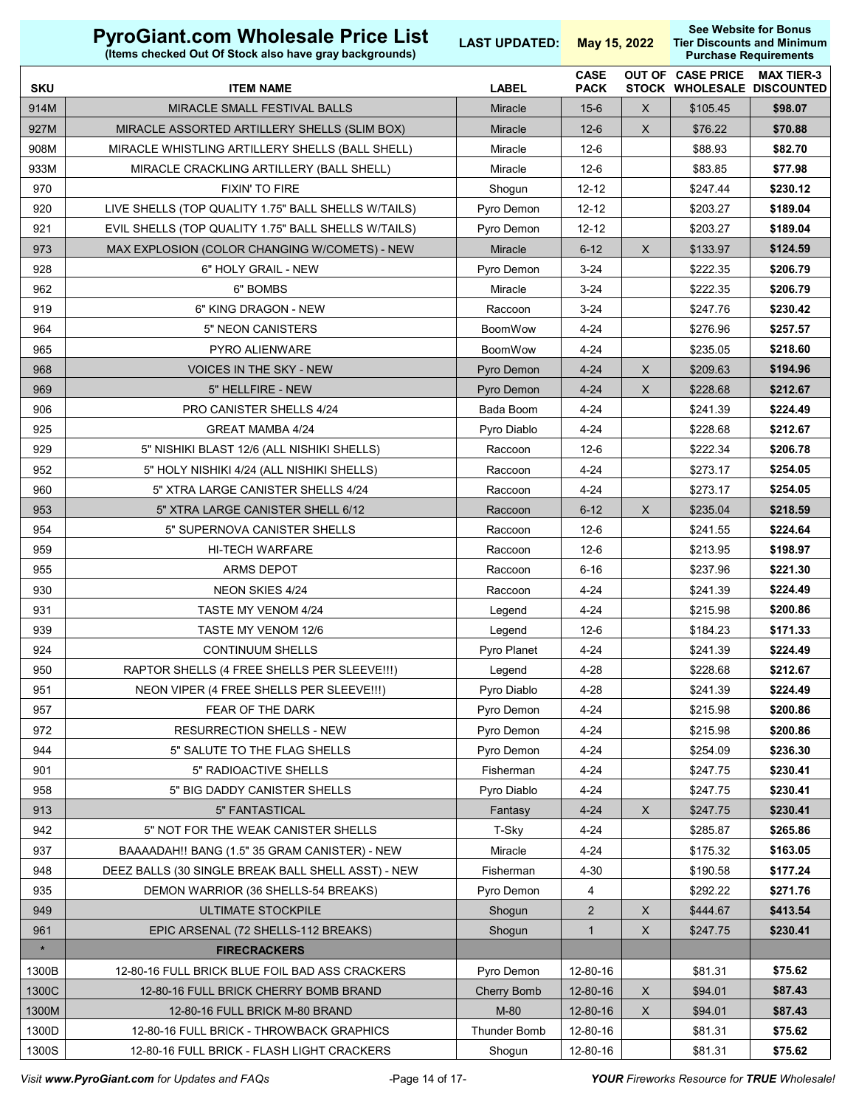**(Items checked Out Of Stock also have gray backgrounds)**

**LAST UPDATED: May 15, 2022 Tier Discounts and Minimum See Website for Bonus**

|            | (Items checked Out Of Stock also have gray backgrounds) |                     |                            |          | <b>Purchase Requirements</b>                           |                   |
|------------|---------------------------------------------------------|---------------------|----------------------------|----------|--------------------------------------------------------|-------------------|
| <b>SKU</b> | <b>ITEM NAME</b>                                        | <b>LABEL</b>        | <b>CASE</b><br><b>PACK</b> |          | <b>OUT OF CASE PRICE</b><br>STOCK WHOLESALE DISCOUNTED | <b>MAX TIER-3</b> |
| 914M       | MIRACLE SMALL FESTIVAL BALLS                            | <b>Miracle</b>      | $15 - 6$                   | $\times$ | \$105.45                                               | \$98.07           |
| 927M       | MIRACLE ASSORTED ARTILLERY SHELLS (SLIM BOX)            | Miracle             | $12-6$                     | X        | \$76.22                                                | \$70.88           |
| 908M       | MIRACLE WHISTLING ARTILLERY SHELLS (BALL SHELL)         | Miracle             | $12-6$                     |          | \$88.93                                                | \$82.70           |
| 933M       | MIRACLE CRACKLING ARTILLERY (BALL SHELL)                | Miracle             | $12-6$                     |          | \$83.85                                                | \$77.98           |
| 970        | <b>FIXIN' TO FIRE</b>                                   | Shogun              | $12 - 12$                  |          | \$247.44                                               | \$230.12          |
| 920        | LIVE SHELLS (TOP QUALITY 1.75" BALL SHELLS W/TAILS)     | Pyro Demon          | $12 - 12$                  |          | \$203.27                                               | \$189.04          |
| 921        | EVIL SHELLS (TOP QUALITY 1.75" BALL SHELLS W/TAILS)     | Pyro Demon          | $12 - 12$                  |          | \$203.27                                               | \$189.04          |
| 973        | MAX EXPLOSION (COLOR CHANGING W/COMETS) - NEW           | Miracle             | $6 - 12$                   | X        | \$133.97                                               | \$124.59          |
| 928        | 6" HOLY GRAIL - NEW                                     | Pyro Demon          | $3 - 24$                   |          | \$222.35                                               | \$206.79          |
| 962        | 6" BOMBS                                                | Miracle             | $3 - 24$                   |          | \$222.35                                               | \$206.79          |
| 919        | 6" KING DRAGON - NEW                                    | Raccoon             | $3 - 24$                   |          | \$247.76                                               | \$230.42          |
| 964        | 5" NEON CANISTERS                                       | <b>BoomWow</b>      | $4 - 24$                   |          | \$276.96                                               | \$257.57          |
| 965        | <b>PYRO ALIENWARE</b>                                   | <b>BoomWow</b>      | $4 - 24$                   |          | \$235.05                                               | \$218.60          |
| 968        | <b>VOICES IN THE SKY - NEW</b>                          | Pyro Demon          | $4 - 24$                   | X        | \$209.63                                               | \$194.96          |
| 969        | 5" HELLFIRE - NEW                                       | Pyro Demon          | $4 - 24$                   | X        | \$228.68                                               | \$212.67          |
| 906        | PRO CANISTER SHELLS 4/24                                | Bada Boom           | $4 - 24$                   |          | \$241.39                                               | \$224.49          |
| 925        | GREAT MAMBA 4/24                                        | Pyro Diablo         | $4 - 24$                   |          | \$228.68                                               | \$212.67          |
| 929        | 5" NISHIKI BLAST 12/6 (ALL NISHIKI SHELLS)              | Raccoon             | $12-6$                     |          | \$222.34                                               | \$206.78          |
| 952        | 5" HOLY NISHIKI 4/24 (ALL NISHIKI SHELLS)               | Raccoon             | $4 - 24$                   |          | \$273.17                                               | \$254.05          |
| 960        | 5" XTRA LARGE CANISTER SHELLS 4/24                      | Raccoon             | $4 - 24$                   |          | \$273.17                                               | \$254.05          |
| 953        | 5" XTRA LARGE CANISTER SHELL 6/12                       | Raccoon             | $6 - 12$                   | X        | \$235.04                                               | \$218.59          |
| 954        | 5" SUPERNOVA CANISTER SHELLS                            | Raccoon             | $12-6$                     |          | \$241.55                                               | \$224.64          |
| 959        | <b>HI-TECH WARFARE</b>                                  | Raccoon             | $12-6$                     |          | \$213.95                                               | \$198.97          |
| 955        | <b>ARMS DEPOT</b>                                       | Raccoon             | $6 - 16$                   |          | \$237.96                                               | \$221.30          |
| 930        | <b>NEON SKIES 4/24</b>                                  | Raccoon             | $4 - 24$                   |          | \$241.39                                               | \$224.49          |
| 931        | TASTE MY VENOM 4/24                                     | Legend              | $4 - 24$                   |          | \$215.98                                               | \$200.86          |
| 939        | <b>TASTE MY VENOM 12/6</b>                              | Legend              | $12-6$                     |          | \$184.23                                               | \$171.33          |
| 924        | <b>CONTINUUM SHELLS</b>                                 | Pyro Planet         | $4 - 24$                   |          | \$241.39                                               | \$224.49          |
| 950        | RAPTOR SHELLS (4 FREE SHELLS PER SLEEVE !!! )           | Legend              | $4 - 28$                   |          | \$228.68                                               | \$212.67          |
| 951        | NEON VIPER (4 FREE SHELLS PER SLEEVE !!! )              | Pyro Diablo         | $4 - 28$                   |          | \$241.39                                               | \$224.49          |
| 957        | FEAR OF THE DARK                                        | Pyro Demon          | $4 - 24$                   |          | \$215.98                                               | \$200.86          |
| 972        | <b>RESURRECTION SHELLS - NEW</b>                        | Pyro Demon          | $4 - 24$                   |          | \$215.98                                               | \$200.86          |
| 944        | 5" SALUTE TO THE FLAG SHELLS                            | Pyro Demon          | $4 - 24$                   |          | \$254.09                                               | \$236.30          |
| 901        | 5" RADIOACTIVE SHELLS                                   | Fisherman           | $4 - 24$                   |          | \$247.75                                               | \$230.41          |
| 958        | 5" BIG DADDY CANISTER SHELLS                            | Pyro Diablo         | $4 - 24$                   |          | \$247.75                                               | \$230.41          |
| 913        | 5" FANTASTICAL                                          | Fantasy             | $4 - 24$                   | X        | \$247.75                                               | \$230.41          |
| 942        | 5" NOT FOR THE WEAK CANISTER SHELLS                     | T-Sky               | $4 - 24$                   |          | \$285.87                                               | \$265.86          |
| 937        | BAAAADAH!! BANG (1.5" 35 GRAM CANISTER) - NEW           | Miracle             | 4-24                       |          | \$175.32                                               | \$163.05          |
| 948        | DEEZ BALLS (30 SINGLE BREAK BALL SHELL ASST) - NEW      | Fisherman           | $4 - 30$                   |          | \$190.58                                               | \$177.24          |
| 935        | DEMON WARRIOR (36 SHELLS-54 BREAKS)                     | Pyro Demon          | 4                          |          | \$292.22                                               | \$271.76          |
| 949        | <b>ULTIMATE STOCKPILE</b>                               | Shogun              | 2                          | X        | \$444.67                                               | \$413.54          |
| 961        | EPIC ARSENAL (72 SHELLS-112 BREAKS)                     | Shogun              | 1                          | X        | \$247.75                                               | \$230.41          |
| $\star$    | <b>FIRECRACKERS</b>                                     |                     |                            |          |                                                        |                   |
| 1300B      | 12-80-16 FULL BRICK BLUE FOIL BAD ASS CRACKERS          | Pyro Demon          | 12-80-16                   |          | \$81.31                                                | \$75.62           |
| 1300C      | 12-80-16 FULL BRICK CHERRY BOMB BRAND                   | <b>Cherry Bomb</b>  | 12-80-16                   | X        | \$94.01                                                | \$87.43           |
| 1300M      | 12-80-16 FULL BRICK M-80 BRAND                          | M-80                | 12-80-16                   | X        | \$94.01                                                | \$87.43           |
| 1300D      | 12-80-16 FULL BRICK - THROWBACK GRAPHICS                | <b>Thunder Bomb</b> | 12-80-16                   |          | \$81.31                                                | \$75.62           |
| 1300S      | 12-80-16 FULL BRICK - FLASH LIGHT CRACKERS              | Shogun              | 12-80-16                   |          | \$81.31                                                | \$75.62           |
|            |                                                         |                     |                            |          |                                                        |                   |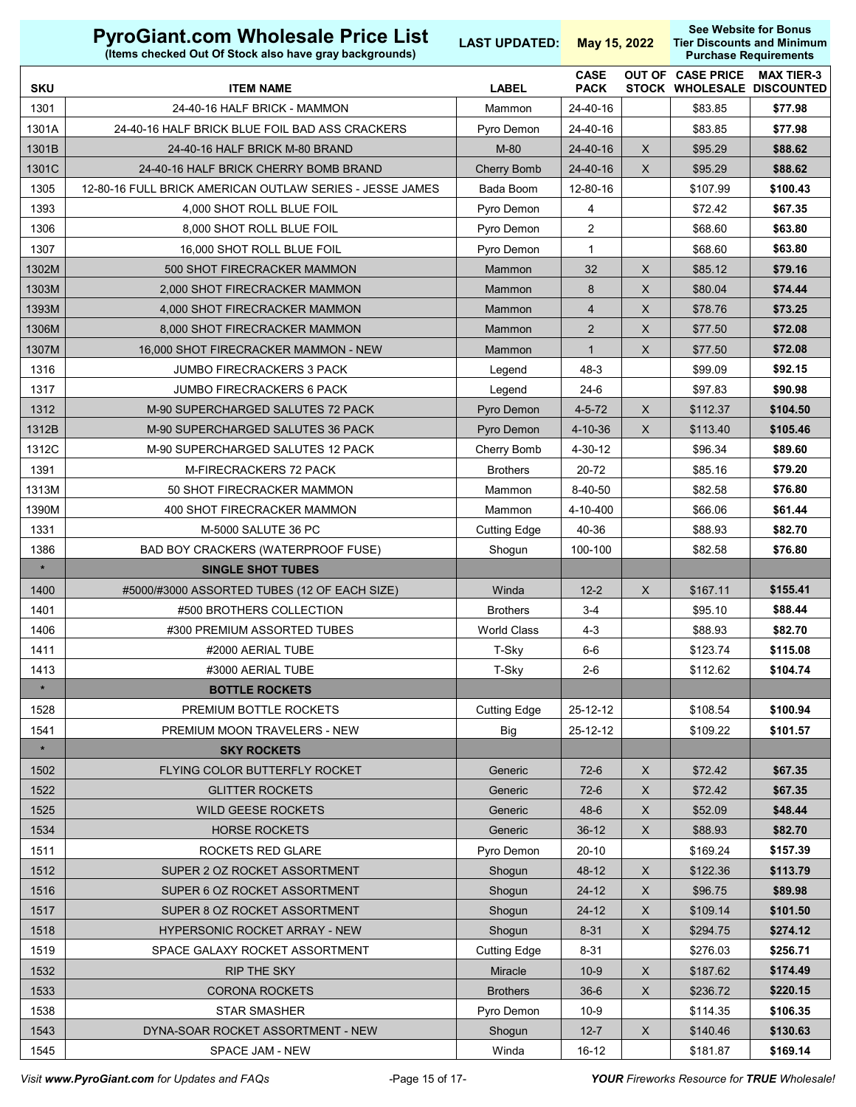**(Items checked Out Of Stock also have gray backgrounds)**

**LAST UPDATED: May 15, 2022**

**See Website for Bonus Tier Discounts and Minimum**

| <b>CASE</b><br>OUT OF CASE PRICE MAX TIER-3<br><b>SKU</b><br><b>ITEM NAME</b><br><b>LABEL</b><br>STOCK WHOLESALE DISCOUNTED<br><b>PACK</b><br>1301<br>24-40-16 HALF BRICK - MAMMON<br>24-40-16<br>\$83.85<br>Mammon<br>\$77.98<br>1301A<br>\$77.98<br>24-40-16 HALF BRICK BLUE FOIL BAD ASS CRACKERS<br>Pyro Demon<br>24-40-16<br>\$83.85<br>1301B<br>$M-80$<br>24-40-16<br>X<br>\$95.29<br>\$88.62<br>24-40-16 HALF BRICK M-80 BRAND<br>1301C<br>24-40-16 HALF BRICK CHERRY BOMB BRAND<br><b>Cherry Bomb</b><br>24-40-16<br>X<br>\$95.29<br>\$88.62<br>1305<br>12-80-16 FULL BRICK AMERICAN OUTLAW SERIES - JESSE JAMES<br>12-80-16<br>Bada Boom<br>\$107.99<br>\$100.43<br>1393<br>\$67.35<br>4,000 SHOT ROLL BLUE FOIL<br>Pyro Demon<br>4<br>\$72.42<br>\$63.80<br>1306<br>8,000 SHOT ROLL BLUE FOIL<br>Pyro Demon<br>2<br>\$68.60<br>1307<br>16,000 SHOT ROLL BLUE FOIL<br>Pyro Demon<br>$\mathbf{1}$<br>\$68.60<br>\$63.80<br>X<br>1302M<br>500 SHOT FIRECRACKER MAMMON<br>Mammon<br>32<br>\$79.16<br>\$85.12<br>1303M<br>8<br>X<br>\$74.44<br>2,000 SHOT FIRECRACKER MAMMON<br>Mammon<br>\$80.04<br>1393M<br>$\overline{4}$<br>X<br>4,000 SHOT FIRECRACKER MAMMON<br>Mammon<br>\$78.76<br>\$73.25<br>1306M<br>$\overline{2}$<br>8,000 SHOT FIRECRACKER MAMMON<br>Mammon<br>X<br>\$77.50<br>\$72.08<br>1307M<br>\$72.08<br>16,000 SHOT FIRECRACKER MAMMON - NEW<br>Mammon<br>$\mathbf{1}$<br>X<br>\$77.50<br>\$92.15<br>1316<br><b>JUMBO FIRECRACKERS 3 PACK</b><br>48-3<br>Legend<br>\$99.09<br>1317<br>$24-6$<br><b>JUMBO FIRECRACKERS 6 PACK</b><br>\$97.83<br>\$90.98<br>Legend<br>1312<br>Pyro Demon<br>$4 - 5 - 72$<br>X<br>\$112.37<br>\$104.50<br>M-90 SUPERCHARGED SALUTES 72 PACK<br>1312B<br>\$105.46<br>M-90 SUPERCHARGED SALUTES 36 PACK<br>4-10-36<br>Pyro Demon<br>X<br>\$113.40<br>1312C<br>\$89.60<br>M-90 SUPERCHARGED SALUTES 12 PACK<br>Cherry Bomb<br>4-30-12<br>\$96.34<br>1391<br>M-FIRECRACKERS 72 PACK<br><b>Brothers</b><br>20-72<br>\$85.16<br>\$79.20<br>1313M<br>50 SHOT FIRECRACKER MAMMON<br>Mammon<br>8-40-50<br>\$82.58<br>\$76.80<br>1390M<br>400 SHOT FIRECRACKER MAMMON<br>4-10-400<br>\$66.06<br>\$61.44<br>Mammon<br>1331<br>\$82.70<br>M-5000 SALUTE 36 PC<br><b>Cutting Edge</b><br>40-36<br>\$88.93<br>1386<br><b>BAD BOY CRACKERS (WATERPROOF FUSE)</b><br>100-100<br>\$82.58<br>\$76.80<br>Shogun<br>$\star$<br><b>SINGLE SHOT TUBES</b><br>1400<br>#5000/#3000 ASSORTED TUBES (12 OF EACH SIZE)<br>Winda<br>$12 - 2$<br>X<br>\$167.11<br>\$155.41<br>1401<br>\$88.44<br>#500 BROTHERS COLLECTION<br><b>Brothers</b><br>$3 - 4$<br>\$95.10<br><b>World Class</b><br>1406<br>#300 PREMIUM ASSORTED TUBES<br>$4 - 3$<br>\$88.93<br>\$82.70<br>1411<br>#2000 AERIAL TUBE<br>$6-6$<br>\$115.08<br>T-Sky<br>\$123.74<br>1413<br>#3000 AERIAL TUBE<br>T-Sky<br>$2 - 6$<br>\$112.62<br>\$104.74<br>$\star$<br><b>BOTTLE ROCKETS</b><br>1528<br>PREMIUM BOTTLE ROCKETS<br><b>Cutting Edge</b><br>25-12-12<br>\$108.54<br>\$100.94<br>1541<br>PREMIUM MOON TRAVELERS - NEW<br><b>Big</b><br>25-12-12<br>\$109.22<br>\$101.57<br>$\star$<br><b>SKY ROCKETS</b><br>X<br>\$67.35<br>1502<br>FLYING COLOR BUTTERFLY ROCKET<br>Generic<br>$72-6$<br>\$72.42<br>1522<br><b>GLITTER ROCKETS</b><br>Generic<br>$72-6$<br>X<br>\$72.42<br>\$67.35<br>1525<br>48-6<br>X<br><b>WILD GEESE ROCKETS</b><br>Generic<br>\$52.09<br>\$48.44<br>$\mathsf X$<br>1534<br>$36-12$<br>\$88.93<br>HORSE ROCKETS<br>Generic<br>\$82.70<br>1511<br><b>ROCKETS RED GLARE</b><br>Pyro Demon<br>\$169.24<br>\$157.39<br>$20 - 10$ |      | (Items checked Out Of Stock also have gray backgrounds) |                     |          |          | <b>Purchase Requirements</b> |
|-----------------------------------------------------------------------------------------------------------------------------------------------------------------------------------------------------------------------------------------------------------------------------------------------------------------------------------------------------------------------------------------------------------------------------------------------------------------------------------------------------------------------------------------------------------------------------------------------------------------------------------------------------------------------------------------------------------------------------------------------------------------------------------------------------------------------------------------------------------------------------------------------------------------------------------------------------------------------------------------------------------------------------------------------------------------------------------------------------------------------------------------------------------------------------------------------------------------------------------------------------------------------------------------------------------------------------------------------------------------------------------------------------------------------------------------------------------------------------------------------------------------------------------------------------------------------------------------------------------------------------------------------------------------------------------------------------------------------------------------------------------------------------------------------------------------------------------------------------------------------------------------------------------------------------------------------------------------------------------------------------------------------------------------------------------------------------------------------------------------------------------------------------------------------------------------------------------------------------------------------------------------------------------------------------------------------------------------------------------------------------------------------------------------------------------------------------------------------------------------------------------------------------------------------------------------------------------------------------------------------------------------------------------------------------------------------------------------------------------------------------------------------------------------------------------------------------------------------------------------------------------------------------------------------------------------------------------------------------------------------------------------------------------------------------------------------------------------------------------------------------------------------------------------------------------------------------------------------------------------------------------------------------------------------------------------------------------------------------------------------------------------------------------------------------------------------------------------------------------------------------------------------------------------------|------|---------------------------------------------------------|---------------------|----------|----------|------------------------------|
|                                                                                                                                                                                                                                                                                                                                                                                                                                                                                                                                                                                                                                                                                                                                                                                                                                                                                                                                                                                                                                                                                                                                                                                                                                                                                                                                                                                                                                                                                                                                                                                                                                                                                                                                                                                                                                                                                                                                                                                                                                                                                                                                                                                                                                                                                                                                                                                                                                                                                                                                                                                                                                                                                                                                                                                                                                                                                                                                                                                                                                                                                                                                                                                                                                                                                                                                                                                                                                                                                                                                               |      |                                                         |                     |          |          |                              |
|                                                                                                                                                                                                                                                                                                                                                                                                                                                                                                                                                                                                                                                                                                                                                                                                                                                                                                                                                                                                                                                                                                                                                                                                                                                                                                                                                                                                                                                                                                                                                                                                                                                                                                                                                                                                                                                                                                                                                                                                                                                                                                                                                                                                                                                                                                                                                                                                                                                                                                                                                                                                                                                                                                                                                                                                                                                                                                                                                                                                                                                                                                                                                                                                                                                                                                                                                                                                                                                                                                                                               |      |                                                         |                     |          |          |                              |
|                                                                                                                                                                                                                                                                                                                                                                                                                                                                                                                                                                                                                                                                                                                                                                                                                                                                                                                                                                                                                                                                                                                                                                                                                                                                                                                                                                                                                                                                                                                                                                                                                                                                                                                                                                                                                                                                                                                                                                                                                                                                                                                                                                                                                                                                                                                                                                                                                                                                                                                                                                                                                                                                                                                                                                                                                                                                                                                                                                                                                                                                                                                                                                                                                                                                                                                                                                                                                                                                                                                                               |      |                                                         |                     |          |          |                              |
|                                                                                                                                                                                                                                                                                                                                                                                                                                                                                                                                                                                                                                                                                                                                                                                                                                                                                                                                                                                                                                                                                                                                                                                                                                                                                                                                                                                                                                                                                                                                                                                                                                                                                                                                                                                                                                                                                                                                                                                                                                                                                                                                                                                                                                                                                                                                                                                                                                                                                                                                                                                                                                                                                                                                                                                                                                                                                                                                                                                                                                                                                                                                                                                                                                                                                                                                                                                                                                                                                                                                               |      |                                                         |                     |          |          |                              |
|                                                                                                                                                                                                                                                                                                                                                                                                                                                                                                                                                                                                                                                                                                                                                                                                                                                                                                                                                                                                                                                                                                                                                                                                                                                                                                                                                                                                                                                                                                                                                                                                                                                                                                                                                                                                                                                                                                                                                                                                                                                                                                                                                                                                                                                                                                                                                                                                                                                                                                                                                                                                                                                                                                                                                                                                                                                                                                                                                                                                                                                                                                                                                                                                                                                                                                                                                                                                                                                                                                                                               |      |                                                         |                     |          |          |                              |
|                                                                                                                                                                                                                                                                                                                                                                                                                                                                                                                                                                                                                                                                                                                                                                                                                                                                                                                                                                                                                                                                                                                                                                                                                                                                                                                                                                                                                                                                                                                                                                                                                                                                                                                                                                                                                                                                                                                                                                                                                                                                                                                                                                                                                                                                                                                                                                                                                                                                                                                                                                                                                                                                                                                                                                                                                                                                                                                                                                                                                                                                                                                                                                                                                                                                                                                                                                                                                                                                                                                                               |      |                                                         |                     |          |          |                              |
|                                                                                                                                                                                                                                                                                                                                                                                                                                                                                                                                                                                                                                                                                                                                                                                                                                                                                                                                                                                                                                                                                                                                                                                                                                                                                                                                                                                                                                                                                                                                                                                                                                                                                                                                                                                                                                                                                                                                                                                                                                                                                                                                                                                                                                                                                                                                                                                                                                                                                                                                                                                                                                                                                                                                                                                                                                                                                                                                                                                                                                                                                                                                                                                                                                                                                                                                                                                                                                                                                                                                               |      |                                                         |                     |          |          |                              |
|                                                                                                                                                                                                                                                                                                                                                                                                                                                                                                                                                                                                                                                                                                                                                                                                                                                                                                                                                                                                                                                                                                                                                                                                                                                                                                                                                                                                                                                                                                                                                                                                                                                                                                                                                                                                                                                                                                                                                                                                                                                                                                                                                                                                                                                                                                                                                                                                                                                                                                                                                                                                                                                                                                                                                                                                                                                                                                                                                                                                                                                                                                                                                                                                                                                                                                                                                                                                                                                                                                                                               |      |                                                         |                     |          |          |                              |
|                                                                                                                                                                                                                                                                                                                                                                                                                                                                                                                                                                                                                                                                                                                                                                                                                                                                                                                                                                                                                                                                                                                                                                                                                                                                                                                                                                                                                                                                                                                                                                                                                                                                                                                                                                                                                                                                                                                                                                                                                                                                                                                                                                                                                                                                                                                                                                                                                                                                                                                                                                                                                                                                                                                                                                                                                                                                                                                                                                                                                                                                                                                                                                                                                                                                                                                                                                                                                                                                                                                                               |      |                                                         |                     |          |          |                              |
|                                                                                                                                                                                                                                                                                                                                                                                                                                                                                                                                                                                                                                                                                                                                                                                                                                                                                                                                                                                                                                                                                                                                                                                                                                                                                                                                                                                                                                                                                                                                                                                                                                                                                                                                                                                                                                                                                                                                                                                                                                                                                                                                                                                                                                                                                                                                                                                                                                                                                                                                                                                                                                                                                                                                                                                                                                                                                                                                                                                                                                                                                                                                                                                                                                                                                                                                                                                                                                                                                                                                               |      |                                                         |                     |          |          |                              |
|                                                                                                                                                                                                                                                                                                                                                                                                                                                                                                                                                                                                                                                                                                                                                                                                                                                                                                                                                                                                                                                                                                                                                                                                                                                                                                                                                                                                                                                                                                                                                                                                                                                                                                                                                                                                                                                                                                                                                                                                                                                                                                                                                                                                                                                                                                                                                                                                                                                                                                                                                                                                                                                                                                                                                                                                                                                                                                                                                                                                                                                                                                                                                                                                                                                                                                                                                                                                                                                                                                                                               |      |                                                         |                     |          |          |                              |
|                                                                                                                                                                                                                                                                                                                                                                                                                                                                                                                                                                                                                                                                                                                                                                                                                                                                                                                                                                                                                                                                                                                                                                                                                                                                                                                                                                                                                                                                                                                                                                                                                                                                                                                                                                                                                                                                                                                                                                                                                                                                                                                                                                                                                                                                                                                                                                                                                                                                                                                                                                                                                                                                                                                                                                                                                                                                                                                                                                                                                                                                                                                                                                                                                                                                                                                                                                                                                                                                                                                                               |      |                                                         |                     |          |          |                              |
|                                                                                                                                                                                                                                                                                                                                                                                                                                                                                                                                                                                                                                                                                                                                                                                                                                                                                                                                                                                                                                                                                                                                                                                                                                                                                                                                                                                                                                                                                                                                                                                                                                                                                                                                                                                                                                                                                                                                                                                                                                                                                                                                                                                                                                                                                                                                                                                                                                                                                                                                                                                                                                                                                                                                                                                                                                                                                                                                                                                                                                                                                                                                                                                                                                                                                                                                                                                                                                                                                                                                               |      |                                                         |                     |          |          |                              |
|                                                                                                                                                                                                                                                                                                                                                                                                                                                                                                                                                                                                                                                                                                                                                                                                                                                                                                                                                                                                                                                                                                                                                                                                                                                                                                                                                                                                                                                                                                                                                                                                                                                                                                                                                                                                                                                                                                                                                                                                                                                                                                                                                                                                                                                                                                                                                                                                                                                                                                                                                                                                                                                                                                                                                                                                                                                                                                                                                                                                                                                                                                                                                                                                                                                                                                                                                                                                                                                                                                                                               |      |                                                         |                     |          |          |                              |
|                                                                                                                                                                                                                                                                                                                                                                                                                                                                                                                                                                                                                                                                                                                                                                                                                                                                                                                                                                                                                                                                                                                                                                                                                                                                                                                                                                                                                                                                                                                                                                                                                                                                                                                                                                                                                                                                                                                                                                                                                                                                                                                                                                                                                                                                                                                                                                                                                                                                                                                                                                                                                                                                                                                                                                                                                                                                                                                                                                                                                                                                                                                                                                                                                                                                                                                                                                                                                                                                                                                                               |      |                                                         |                     |          |          |                              |
|                                                                                                                                                                                                                                                                                                                                                                                                                                                                                                                                                                                                                                                                                                                                                                                                                                                                                                                                                                                                                                                                                                                                                                                                                                                                                                                                                                                                                                                                                                                                                                                                                                                                                                                                                                                                                                                                                                                                                                                                                                                                                                                                                                                                                                                                                                                                                                                                                                                                                                                                                                                                                                                                                                                                                                                                                                                                                                                                                                                                                                                                                                                                                                                                                                                                                                                                                                                                                                                                                                                                               |      |                                                         |                     |          |          |                              |
|                                                                                                                                                                                                                                                                                                                                                                                                                                                                                                                                                                                                                                                                                                                                                                                                                                                                                                                                                                                                                                                                                                                                                                                                                                                                                                                                                                                                                                                                                                                                                                                                                                                                                                                                                                                                                                                                                                                                                                                                                                                                                                                                                                                                                                                                                                                                                                                                                                                                                                                                                                                                                                                                                                                                                                                                                                                                                                                                                                                                                                                                                                                                                                                                                                                                                                                                                                                                                                                                                                                                               |      |                                                         |                     |          |          |                              |
|                                                                                                                                                                                                                                                                                                                                                                                                                                                                                                                                                                                                                                                                                                                                                                                                                                                                                                                                                                                                                                                                                                                                                                                                                                                                                                                                                                                                                                                                                                                                                                                                                                                                                                                                                                                                                                                                                                                                                                                                                                                                                                                                                                                                                                                                                                                                                                                                                                                                                                                                                                                                                                                                                                                                                                                                                                                                                                                                                                                                                                                                                                                                                                                                                                                                                                                                                                                                                                                                                                                                               |      |                                                         |                     |          |          |                              |
|                                                                                                                                                                                                                                                                                                                                                                                                                                                                                                                                                                                                                                                                                                                                                                                                                                                                                                                                                                                                                                                                                                                                                                                                                                                                                                                                                                                                                                                                                                                                                                                                                                                                                                                                                                                                                                                                                                                                                                                                                                                                                                                                                                                                                                                                                                                                                                                                                                                                                                                                                                                                                                                                                                                                                                                                                                                                                                                                                                                                                                                                                                                                                                                                                                                                                                                                                                                                                                                                                                                                               |      |                                                         |                     |          |          |                              |
|                                                                                                                                                                                                                                                                                                                                                                                                                                                                                                                                                                                                                                                                                                                                                                                                                                                                                                                                                                                                                                                                                                                                                                                                                                                                                                                                                                                                                                                                                                                                                                                                                                                                                                                                                                                                                                                                                                                                                                                                                                                                                                                                                                                                                                                                                                                                                                                                                                                                                                                                                                                                                                                                                                                                                                                                                                                                                                                                                                                                                                                                                                                                                                                                                                                                                                                                                                                                                                                                                                                                               |      |                                                         |                     |          |          |                              |
|                                                                                                                                                                                                                                                                                                                                                                                                                                                                                                                                                                                                                                                                                                                                                                                                                                                                                                                                                                                                                                                                                                                                                                                                                                                                                                                                                                                                                                                                                                                                                                                                                                                                                                                                                                                                                                                                                                                                                                                                                                                                                                                                                                                                                                                                                                                                                                                                                                                                                                                                                                                                                                                                                                                                                                                                                                                                                                                                                                                                                                                                                                                                                                                                                                                                                                                                                                                                                                                                                                                                               |      |                                                         |                     |          |          |                              |
|                                                                                                                                                                                                                                                                                                                                                                                                                                                                                                                                                                                                                                                                                                                                                                                                                                                                                                                                                                                                                                                                                                                                                                                                                                                                                                                                                                                                                                                                                                                                                                                                                                                                                                                                                                                                                                                                                                                                                                                                                                                                                                                                                                                                                                                                                                                                                                                                                                                                                                                                                                                                                                                                                                                                                                                                                                                                                                                                                                                                                                                                                                                                                                                                                                                                                                                                                                                                                                                                                                                                               |      |                                                         |                     |          |          |                              |
|                                                                                                                                                                                                                                                                                                                                                                                                                                                                                                                                                                                                                                                                                                                                                                                                                                                                                                                                                                                                                                                                                                                                                                                                                                                                                                                                                                                                                                                                                                                                                                                                                                                                                                                                                                                                                                                                                                                                                                                                                                                                                                                                                                                                                                                                                                                                                                                                                                                                                                                                                                                                                                                                                                                                                                                                                                                                                                                                                                                                                                                                                                                                                                                                                                                                                                                                                                                                                                                                                                                                               |      |                                                         |                     |          |          |                              |
|                                                                                                                                                                                                                                                                                                                                                                                                                                                                                                                                                                                                                                                                                                                                                                                                                                                                                                                                                                                                                                                                                                                                                                                                                                                                                                                                                                                                                                                                                                                                                                                                                                                                                                                                                                                                                                                                                                                                                                                                                                                                                                                                                                                                                                                                                                                                                                                                                                                                                                                                                                                                                                                                                                                                                                                                                                                                                                                                                                                                                                                                                                                                                                                                                                                                                                                                                                                                                                                                                                                                               |      |                                                         |                     |          |          |                              |
|                                                                                                                                                                                                                                                                                                                                                                                                                                                                                                                                                                                                                                                                                                                                                                                                                                                                                                                                                                                                                                                                                                                                                                                                                                                                                                                                                                                                                                                                                                                                                                                                                                                                                                                                                                                                                                                                                                                                                                                                                                                                                                                                                                                                                                                                                                                                                                                                                                                                                                                                                                                                                                                                                                                                                                                                                                                                                                                                                                                                                                                                                                                                                                                                                                                                                                                                                                                                                                                                                                                                               |      |                                                         |                     |          |          |                              |
|                                                                                                                                                                                                                                                                                                                                                                                                                                                                                                                                                                                                                                                                                                                                                                                                                                                                                                                                                                                                                                                                                                                                                                                                                                                                                                                                                                                                                                                                                                                                                                                                                                                                                                                                                                                                                                                                                                                                                                                                                                                                                                                                                                                                                                                                                                                                                                                                                                                                                                                                                                                                                                                                                                                                                                                                                                                                                                                                                                                                                                                                                                                                                                                                                                                                                                                                                                                                                                                                                                                                               |      |                                                         |                     |          |          |                              |
|                                                                                                                                                                                                                                                                                                                                                                                                                                                                                                                                                                                                                                                                                                                                                                                                                                                                                                                                                                                                                                                                                                                                                                                                                                                                                                                                                                                                                                                                                                                                                                                                                                                                                                                                                                                                                                                                                                                                                                                                                                                                                                                                                                                                                                                                                                                                                                                                                                                                                                                                                                                                                                                                                                                                                                                                                                                                                                                                                                                                                                                                                                                                                                                                                                                                                                                                                                                                                                                                                                                                               |      |                                                         |                     |          |          |                              |
|                                                                                                                                                                                                                                                                                                                                                                                                                                                                                                                                                                                                                                                                                                                                                                                                                                                                                                                                                                                                                                                                                                                                                                                                                                                                                                                                                                                                                                                                                                                                                                                                                                                                                                                                                                                                                                                                                                                                                                                                                                                                                                                                                                                                                                                                                                                                                                                                                                                                                                                                                                                                                                                                                                                                                                                                                                                                                                                                                                                                                                                                                                                                                                                                                                                                                                                                                                                                                                                                                                                                               |      |                                                         |                     |          |          |                              |
|                                                                                                                                                                                                                                                                                                                                                                                                                                                                                                                                                                                                                                                                                                                                                                                                                                                                                                                                                                                                                                                                                                                                                                                                                                                                                                                                                                                                                                                                                                                                                                                                                                                                                                                                                                                                                                                                                                                                                                                                                                                                                                                                                                                                                                                                                                                                                                                                                                                                                                                                                                                                                                                                                                                                                                                                                                                                                                                                                                                                                                                                                                                                                                                                                                                                                                                                                                                                                                                                                                                                               |      |                                                         |                     |          |          |                              |
|                                                                                                                                                                                                                                                                                                                                                                                                                                                                                                                                                                                                                                                                                                                                                                                                                                                                                                                                                                                                                                                                                                                                                                                                                                                                                                                                                                                                                                                                                                                                                                                                                                                                                                                                                                                                                                                                                                                                                                                                                                                                                                                                                                                                                                                                                                                                                                                                                                                                                                                                                                                                                                                                                                                                                                                                                                                                                                                                                                                                                                                                                                                                                                                                                                                                                                                                                                                                                                                                                                                                               |      |                                                         |                     |          |          |                              |
|                                                                                                                                                                                                                                                                                                                                                                                                                                                                                                                                                                                                                                                                                                                                                                                                                                                                                                                                                                                                                                                                                                                                                                                                                                                                                                                                                                                                                                                                                                                                                                                                                                                                                                                                                                                                                                                                                                                                                                                                                                                                                                                                                                                                                                                                                                                                                                                                                                                                                                                                                                                                                                                                                                                                                                                                                                                                                                                                                                                                                                                                                                                                                                                                                                                                                                                                                                                                                                                                                                                                               |      |                                                         |                     |          |          |                              |
|                                                                                                                                                                                                                                                                                                                                                                                                                                                                                                                                                                                                                                                                                                                                                                                                                                                                                                                                                                                                                                                                                                                                                                                                                                                                                                                                                                                                                                                                                                                                                                                                                                                                                                                                                                                                                                                                                                                                                                                                                                                                                                                                                                                                                                                                                                                                                                                                                                                                                                                                                                                                                                                                                                                                                                                                                                                                                                                                                                                                                                                                                                                                                                                                                                                                                                                                                                                                                                                                                                                                               |      |                                                         |                     |          |          |                              |
|                                                                                                                                                                                                                                                                                                                                                                                                                                                                                                                                                                                                                                                                                                                                                                                                                                                                                                                                                                                                                                                                                                                                                                                                                                                                                                                                                                                                                                                                                                                                                                                                                                                                                                                                                                                                                                                                                                                                                                                                                                                                                                                                                                                                                                                                                                                                                                                                                                                                                                                                                                                                                                                                                                                                                                                                                                                                                                                                                                                                                                                                                                                                                                                                                                                                                                                                                                                                                                                                                                                                               |      |                                                         |                     |          |          |                              |
|                                                                                                                                                                                                                                                                                                                                                                                                                                                                                                                                                                                                                                                                                                                                                                                                                                                                                                                                                                                                                                                                                                                                                                                                                                                                                                                                                                                                                                                                                                                                                                                                                                                                                                                                                                                                                                                                                                                                                                                                                                                                                                                                                                                                                                                                                                                                                                                                                                                                                                                                                                                                                                                                                                                                                                                                                                                                                                                                                                                                                                                                                                                                                                                                                                                                                                                                                                                                                                                                                                                                               |      |                                                         |                     |          |          |                              |
|                                                                                                                                                                                                                                                                                                                                                                                                                                                                                                                                                                                                                                                                                                                                                                                                                                                                                                                                                                                                                                                                                                                                                                                                                                                                                                                                                                                                                                                                                                                                                                                                                                                                                                                                                                                                                                                                                                                                                                                                                                                                                                                                                                                                                                                                                                                                                                                                                                                                                                                                                                                                                                                                                                                                                                                                                                                                                                                                                                                                                                                                                                                                                                                                                                                                                                                                                                                                                                                                                                                                               |      |                                                         |                     |          |          |                              |
|                                                                                                                                                                                                                                                                                                                                                                                                                                                                                                                                                                                                                                                                                                                                                                                                                                                                                                                                                                                                                                                                                                                                                                                                                                                                                                                                                                                                                                                                                                                                                                                                                                                                                                                                                                                                                                                                                                                                                                                                                                                                                                                                                                                                                                                                                                                                                                                                                                                                                                                                                                                                                                                                                                                                                                                                                                                                                                                                                                                                                                                                                                                                                                                                                                                                                                                                                                                                                                                                                                                                               |      |                                                         |                     |          |          |                              |
|                                                                                                                                                                                                                                                                                                                                                                                                                                                                                                                                                                                                                                                                                                                                                                                                                                                                                                                                                                                                                                                                                                                                                                                                                                                                                                                                                                                                                                                                                                                                                                                                                                                                                                                                                                                                                                                                                                                                                                                                                                                                                                                                                                                                                                                                                                                                                                                                                                                                                                                                                                                                                                                                                                                                                                                                                                                                                                                                                                                                                                                                                                                                                                                                                                                                                                                                                                                                                                                                                                                                               |      |                                                         |                     |          |          |                              |
|                                                                                                                                                                                                                                                                                                                                                                                                                                                                                                                                                                                                                                                                                                                                                                                                                                                                                                                                                                                                                                                                                                                                                                                                                                                                                                                                                                                                                                                                                                                                                                                                                                                                                                                                                                                                                                                                                                                                                                                                                                                                                                                                                                                                                                                                                                                                                                                                                                                                                                                                                                                                                                                                                                                                                                                                                                                                                                                                                                                                                                                                                                                                                                                                                                                                                                                                                                                                                                                                                                                                               |      |                                                         |                     |          |          |                              |
|                                                                                                                                                                                                                                                                                                                                                                                                                                                                                                                                                                                                                                                                                                                                                                                                                                                                                                                                                                                                                                                                                                                                                                                                                                                                                                                                                                                                                                                                                                                                                                                                                                                                                                                                                                                                                                                                                                                                                                                                                                                                                                                                                                                                                                                                                                                                                                                                                                                                                                                                                                                                                                                                                                                                                                                                                                                                                                                                                                                                                                                                                                                                                                                                                                                                                                                                                                                                                                                                                                                                               |      |                                                         |                     |          |          |                              |
| 1512<br>X<br>\$113.79<br>SUPER 2 OZ ROCKET ASSORTMENT<br>Shogun<br>48-12<br>\$122.36                                                                                                                                                                                                                                                                                                                                                                                                                                                                                                                                                                                                                                                                                                                                                                                                                                                                                                                                                                                                                                                                                                                                                                                                                                                                                                                                                                                                                                                                                                                                                                                                                                                                                                                                                                                                                                                                                                                                                                                                                                                                                                                                                                                                                                                                                                                                                                                                                                                                                                                                                                                                                                                                                                                                                                                                                                                                                                                                                                                                                                                                                                                                                                                                                                                                                                                                                                                                                                                          |      |                                                         |                     |          |          |                              |
| 1516<br>SUPER 6 OZ ROCKET ASSORTMENT<br>Shogun<br>$24 - 12$<br>X<br>\$96.75<br>\$89.98                                                                                                                                                                                                                                                                                                                                                                                                                                                                                                                                                                                                                                                                                                                                                                                                                                                                                                                                                                                                                                                                                                                                                                                                                                                                                                                                                                                                                                                                                                                                                                                                                                                                                                                                                                                                                                                                                                                                                                                                                                                                                                                                                                                                                                                                                                                                                                                                                                                                                                                                                                                                                                                                                                                                                                                                                                                                                                                                                                                                                                                                                                                                                                                                                                                                                                                                                                                                                                                        |      |                                                         |                     |          |          |                              |
| 1517<br>$24-12$<br>X<br>\$101.50<br>SUPER 8 OZ ROCKET ASSORTMENT<br>Shogun<br>\$109.14                                                                                                                                                                                                                                                                                                                                                                                                                                                                                                                                                                                                                                                                                                                                                                                                                                                                                                                                                                                                                                                                                                                                                                                                                                                                                                                                                                                                                                                                                                                                                                                                                                                                                                                                                                                                                                                                                                                                                                                                                                                                                                                                                                                                                                                                                                                                                                                                                                                                                                                                                                                                                                                                                                                                                                                                                                                                                                                                                                                                                                                                                                                                                                                                                                                                                                                                                                                                                                                        |      |                                                         |                     |          |          |                              |
| $\mathsf X$<br>1518<br>$8 - 31$<br>\$294.75<br>\$274.12<br>HYPERSONIC ROCKET ARRAY - NEW<br>Shogun                                                                                                                                                                                                                                                                                                                                                                                                                                                                                                                                                                                                                                                                                                                                                                                                                                                                                                                                                                                                                                                                                                                                                                                                                                                                                                                                                                                                                                                                                                                                                                                                                                                                                                                                                                                                                                                                                                                                                                                                                                                                                                                                                                                                                                                                                                                                                                                                                                                                                                                                                                                                                                                                                                                                                                                                                                                                                                                                                                                                                                                                                                                                                                                                                                                                                                                                                                                                                                            |      |                                                         |                     |          |          |                              |
|                                                                                                                                                                                                                                                                                                                                                                                                                                                                                                                                                                                                                                                                                                                                                                                                                                                                                                                                                                                                                                                                                                                                                                                                                                                                                                                                                                                                                                                                                                                                                                                                                                                                                                                                                                                                                                                                                                                                                                                                                                                                                                                                                                                                                                                                                                                                                                                                                                                                                                                                                                                                                                                                                                                                                                                                                                                                                                                                                                                                                                                                                                                                                                                                                                                                                                                                                                                                                                                                                                                                               | 1519 | SPACE GALAXY ROCKET ASSORTMENT                          | <b>Cutting Edge</b> | $8 - 31$ | \$276.03 | \$256.71                     |
|                                                                                                                                                                                                                                                                                                                                                                                                                                                                                                                                                                                                                                                                                                                                                                                                                                                                                                                                                                                                                                                                                                                                                                                                                                                                                                                                                                                                                                                                                                                                                                                                                                                                                                                                                                                                                                                                                                                                                                                                                                                                                                                                                                                                                                                                                                                                                                                                                                                                                                                                                                                                                                                                                                                                                                                                                                                                                                                                                                                                                                                                                                                                                                                                                                                                                                                                                                                                                                                                                                                                               |      |                                                         |                     | $10-9$   |          |                              |
|                                                                                                                                                                                                                                                                                                                                                                                                                                                                                                                                                                                                                                                                                                                                                                                                                                                                                                                                                                                                                                                                                                                                                                                                                                                                                                                                                                                                                                                                                                                                                                                                                                                                                                                                                                                                                                                                                                                                                                                                                                                                                                                                                                                                                                                                                                                                                                                                                                                                                                                                                                                                                                                                                                                                                                                                                                                                                                                                                                                                                                                                                                                                                                                                                                                                                                                                                                                                                                                                                                                                               |      |                                                         |                     |          |          |                              |
| 1532<br>$\boldsymbol{\mathsf{X}}$<br><b>RIP THE SKY</b><br>Miracle<br>\$187.62<br>\$174.49                                                                                                                                                                                                                                                                                                                                                                                                                                                                                                                                                                                                                                                                                                                                                                                                                                                                                                                                                                                                                                                                                                                                                                                                                                                                                                                                                                                                                                                                                                                                                                                                                                                                                                                                                                                                                                                                                                                                                                                                                                                                                                                                                                                                                                                                                                                                                                                                                                                                                                                                                                                                                                                                                                                                                                                                                                                                                                                                                                                                                                                                                                                                                                                                                                                                                                                                                                                                                                                    |      |                                                         |                     |          |          |                              |
| 1533<br>X<br><b>CORONA ROCKETS</b><br><b>Brothers</b><br>$36-6$<br>\$236.72<br>\$220.15                                                                                                                                                                                                                                                                                                                                                                                                                                                                                                                                                                                                                                                                                                                                                                                                                                                                                                                                                                                                                                                                                                                                                                                                                                                                                                                                                                                                                                                                                                                                                                                                                                                                                                                                                                                                                                                                                                                                                                                                                                                                                                                                                                                                                                                                                                                                                                                                                                                                                                                                                                                                                                                                                                                                                                                                                                                                                                                                                                                                                                                                                                                                                                                                                                                                                                                                                                                                                                                       |      |                                                         |                     |          |          |                              |
| 1538<br>\$106.35<br><b>STAR SMASHER</b><br>Pyro Demon<br>$10 - 9$<br>\$114.35<br>1543<br>DYNA-SOAR ROCKET ASSORTMENT - NEW<br>$12 - 7$<br>$\mathsf X$<br>\$130.63<br>Shogun<br>\$140.46                                                                                                                                                                                                                                                                                                                                                                                                                                                                                                                                                                                                                                                                                                                                                                                                                                                                                                                                                                                                                                                                                                                                                                                                                                                                                                                                                                                                                                                                                                                                                                                                                                                                                                                                                                                                                                                                                                                                                                                                                                                                                                                                                                                                                                                                                                                                                                                                                                                                                                                                                                                                                                                                                                                                                                                                                                                                                                                                                                                                                                                                                                                                                                                                                                                                                                                                                       |      |                                                         |                     |          |          |                              |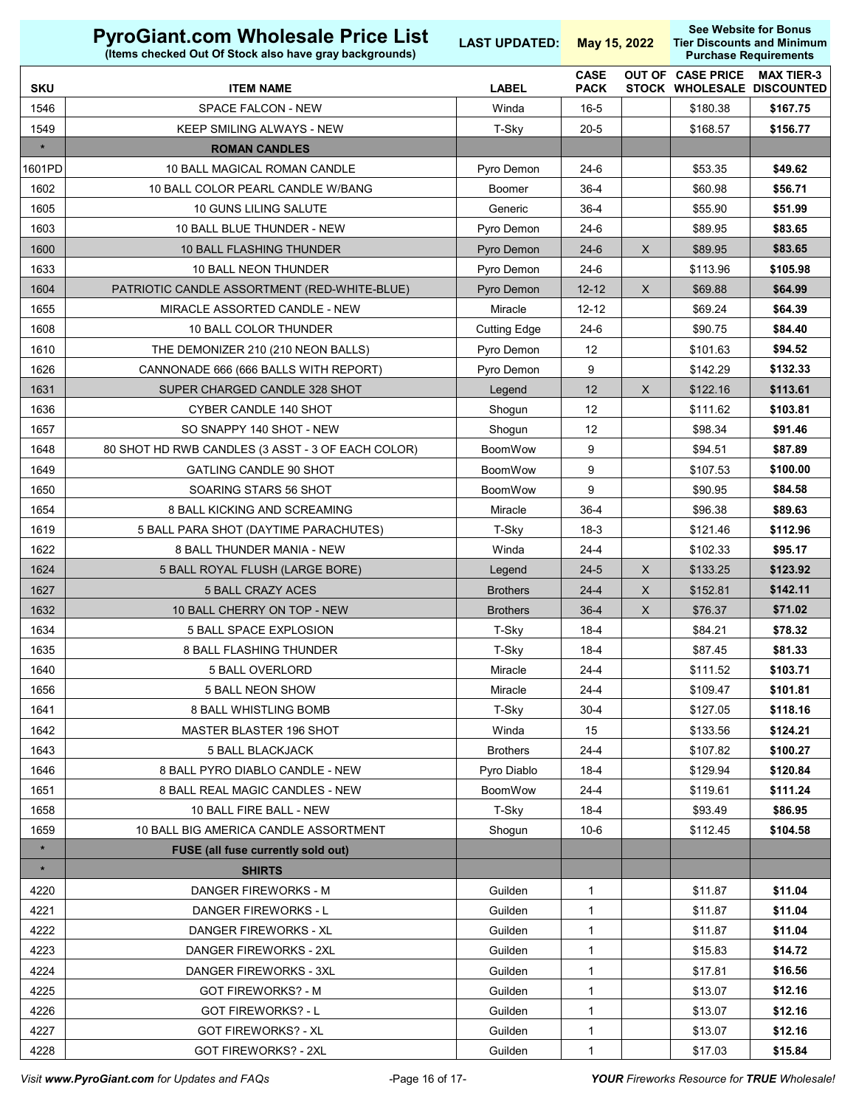#### **LAST UPDATED: May 15, 2022 SKU ITEM NAME LABEL PyroGiant.com Wholesale Price List (Items checked Out Of Stock also have gray backgrounds) CASE PACK OUT OF**

| 1546    | <b>SPACE FALCON - NEW</b>                         | Winda               | $16 - 5$     |   | \$180.38 | \$167.75 |
|---------|---------------------------------------------------|---------------------|--------------|---|----------|----------|
| 1549    | <b>KEEP SMILING ALWAYS - NEW</b>                  | T-Sky               | $20 - 5$     |   | \$168.57 | \$156.77 |
|         | <b>ROMAN CANDLES</b>                              |                     |              |   |          |          |
| 1601PD  | 10 BALL MAGICAL ROMAN CANDLE                      | Pyro Demon          | $24-6$       |   | \$53.35  | \$49.62  |
| 1602    | 10 BALL COLOR PEARL CANDLE W/BANG                 | Boomer              | $36-4$       |   | \$60.98  | \$56.71  |
| 1605    | 10 GUNS LILING SALUTE                             | Generic             | $36-4$       |   | \$55.90  | \$51.99  |
| 1603    | 10 BALL BLUE THUNDER - NEW                        | Pyro Demon          | $24-6$       |   | \$89.95  | \$83.65  |
| 1600    | <b>10 BALL FLASHING THUNDER</b>                   | Pyro Demon          | $24-6$       | X | \$89.95  | \$83.65  |
| 1633    | <b>10 BALL NEON THUNDER</b>                       | Pyro Demon          | $24-6$       |   | \$113.96 | \$105.98 |
| 1604    | PATRIOTIC CANDLE ASSORTMENT (RED-WHITE-BLUE)      | Pyro Demon          | $12 - 12$    | X | \$69.88  | \$64.99  |
| 1655    | MIRACLE ASSORTED CANDLE - NEW                     | Miracle             | $12 - 12$    |   | \$69.24  | \$64.39  |
| 1608    | 10 BALL COLOR THUNDER                             | <b>Cutting Edge</b> | $24-6$       |   | \$90.75  | \$84.40  |
| 1610    | THE DEMONIZER 210 (210 NEON BALLS)                | Pyro Demon          | 12           |   | \$101.63 | \$94.52  |
| 1626    | CANNONADE 666 (666 BALLS WITH REPORT)             | Pyro Demon          | 9            |   | \$142.29 | \$132.33 |
| 1631    | SUPER CHARGED CANDLE 328 SHOT                     | Legend              | 12           | X | \$122.16 | \$113.61 |
| 1636    | <b>CYBER CANDLE 140 SHOT</b>                      | Shogun              | 12           |   | \$111.62 | \$103.81 |
| 1657    | SO SNAPPY 140 SHOT - NEW                          | Shogun              | 12           |   | \$98.34  | \$91.46  |
| 1648    | 80 SHOT HD RWB CANDLES (3 ASST - 3 OF EACH COLOR) | <b>BoomWow</b>      | 9            |   | \$94.51  | \$87.89  |
| 1649    | GATLING CANDLE 90 SHOT                            | <b>BoomWow</b>      | 9            |   | \$107.53 | \$100.00 |
| 1650    | SOARING STARS 56 SHOT                             | <b>BoomWow</b>      | 9            |   | \$90.95  | \$84.58  |
| 1654    | 8 BALL KICKING AND SCREAMING                      | Miracle             | 36-4         |   | \$96.38  | \$89.63  |
| 1619    | 5 BALL PARA SHOT (DAYTIME PARACHUTES)             | T-Sky               | $18-3$       |   | \$121.46 | \$112.96 |
| 1622    | 8 BALL THUNDER MANIA - NEW                        | Winda               | $24 - 4$     |   | \$102.33 | \$95.17  |
| 1624    | 5 BALL ROYAL FLUSH (LARGE BORE)                   | Legend              | $24 - 5$     | X | \$133.25 | \$123.92 |
| 1627    | <b>5 BALL CRAZY ACES</b>                          | <b>Brothers</b>     | $24 - 4$     | X | \$152.81 | \$142.11 |
| 1632    | 10 BALL CHERRY ON TOP - NEW                       | <b>Brothers</b>     | $36-4$       | X | \$76.37  | \$71.02  |
| 1634    | 5 BALL SPACE EXPLOSION                            | T-Sky               | $18-4$       |   | \$84.21  | \$78.32  |
| 1635    | <b>8 BALL FLASHING THUNDER</b>                    | T-Sky               | $18-4$       |   | \$87.45  | \$81.33  |
| 1640    | 5 BALL OVERLORD                                   | Miracle             | $24 - 4$     |   | \$111.52 | \$103.71 |
| 1656    | 5 BALL NEON SHOW                                  | Miracle             | $24 - 4$     |   | \$109.47 | \$101.81 |
| 1641    | <b>8 BALL WHISTLING BOMB</b>                      | T-Sky               | $30 - 4$     |   | \$127.05 | \$118.16 |
| 1642    | MASTER BLASTER 196 SHOT                           | Winda               | 15           |   | \$133.56 | \$124.21 |
| 1643    | 5 BALL BLACKJACK                                  | <b>Brothers</b>     | 24-4         |   | \$107.82 | \$100.27 |
| 1646    | 8 BALL PYRO DIABLO CANDLE - NEW                   | Pyro Diablo         | 18-4         |   | \$129.94 | \$120.84 |
| 1651    | 8 BALL REAL MAGIC CANDLES - NEW                   | <b>BoomWow</b>      | $24 - 4$     |   | \$119.61 | \$111.24 |
| 1658    | 10 BALL FIRE BALL - NEW                           | T-Sky               | $18-4$       |   | \$93.49  | \$86.95  |
| 1659    | 10 BALL BIG AMERICA CANDLE ASSORTMENT             | Shogun              | $10-6$       |   | \$112.45 | \$104.58 |
| $\star$ | <b>FUSE (all fuse currently sold out)</b>         |                     |              |   |          |          |
| $\star$ | <b>SHIRTS</b>                                     |                     |              |   |          |          |
| 4220    | DANGER FIREWORKS - M                              | Guilden             | $\mathbf{1}$ |   | \$11.87  | \$11.04  |
| 4221    | DANGER FIREWORKS - L                              | Guilden             | 1            |   | \$11.87  | \$11.04  |
| 4222    | DANGER FIREWORKS - XL                             | Guilden             | 1            |   | \$11.87  | \$11.04  |
| 4223    | DANGER FIREWORKS - 2XL                            | Guilden             | 1            |   | \$15.83  | \$14.72  |
| 4224    | DANGER FIREWORKS - 3XL                            | Guilden             | 1            |   | \$17.81  | \$16.56  |
| 4225    | <b>GOT FIREWORKS? - M</b>                         | Guilden             | 1            |   | \$13.07  | \$12.16  |
| 4226    | <b>GOT FIREWORKS? - L</b>                         | Guilden             | $\mathbf{1}$ |   | \$13.07  | \$12.16  |
| 4227    | <b>GOT FIREWORKS? - XL</b>                        | Guilden             | 1            |   | \$13.07  | \$12.16  |

4228 GOT FIREWORKS? - 2XL Guilden 1 1 \$17.03 **\$15.84** 

**See Website for Bonus Tier Discounts and Minimum Purchase Requirements**

> **MAX TIER-3 DISCOUNTED**

**CASE PRICE WHOLESALE**

**STOCK**